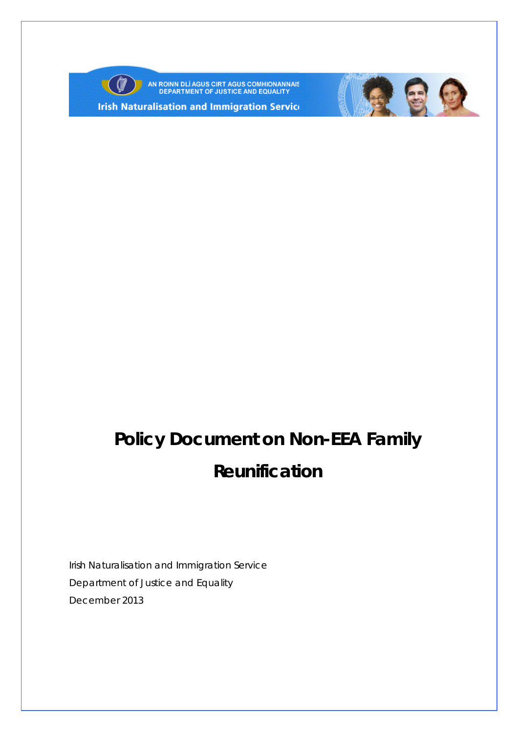

AN ROINN DLÍ AGUS CIRT AGUS COMHIONANNAIS<br>DEPARTMENT OF JUSTICE AND EQUALITY

**Irish Naturalisation and Immigration Service** 



# **Policy Document on Non-EEA Family Reunification**

Irish Naturalisation and Immigration Service Department of Justice and Equality December 2013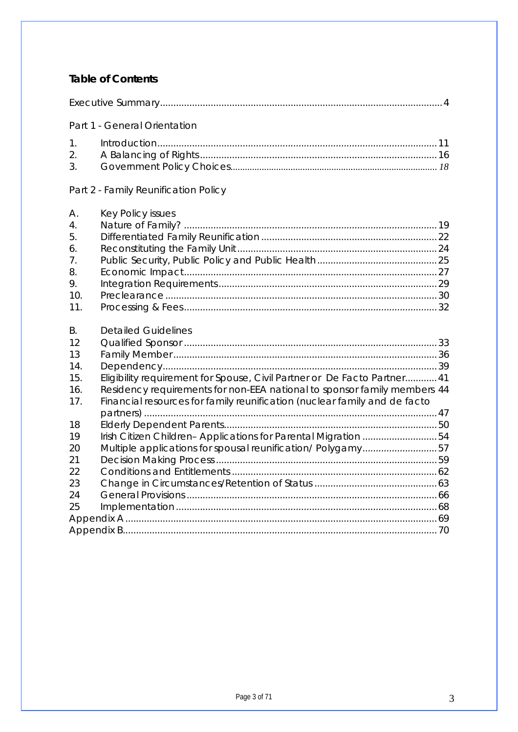#### **Table of Contents**

Part 1 - General Orientation

#### Part 2 - Family Reunification Policy

| A.                    | <b>Key Policy issues</b>                                                  |  |
|-----------------------|---------------------------------------------------------------------------|--|
| $\mathcal{A}_{\cdot}$ |                                                                           |  |
| 5.                    |                                                                           |  |
| 6.                    |                                                                           |  |
| 7.                    |                                                                           |  |
| 8.                    |                                                                           |  |
| 9.                    |                                                                           |  |
| 10.                   |                                                                           |  |
| 11.                   |                                                                           |  |
|                       |                                                                           |  |
| B.                    | <b>Detailed Guidelines</b>                                                |  |
| 12                    |                                                                           |  |
| 13                    |                                                                           |  |
| 14.                   |                                                                           |  |
| 15.                   | Eligibility requirement for Spouse, Civil Partner or De Facto Partner 41  |  |
| 16.                   | Residency requirements for non-EEA national to sponsor family members 44  |  |
| 17.                   | Financial resources for family reunification (nuclear family and de facto |  |
|                       |                                                                           |  |
| 18                    |                                                                           |  |
| 19                    | Irish Citizen Children-Applications for Parental Migration 54             |  |
| 20                    | Multiple applications for spousal reunification/Polygamy57                |  |
| 21                    |                                                                           |  |
| 22                    |                                                                           |  |
| 23                    |                                                                           |  |
|                       |                                                                           |  |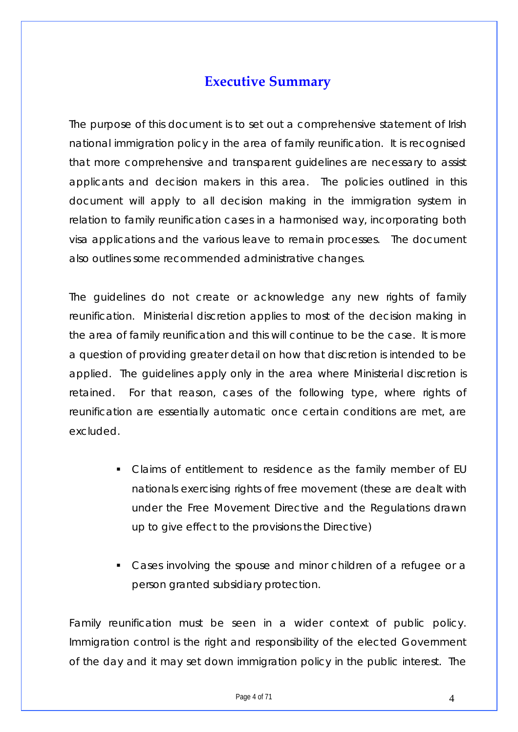## **Executive Summary**

<span id="page-3-0"></span>The purpose of this document is to set out a comprehensive statement of Irish national immigration policy in the area of family reunification. It is recognised that more comprehensive and transparent guidelines are necessary to assist applicants and decision makers in this area. The policies outlined in this document will apply to all decision making in the immigration system in relation to family reunification cases in a harmonised way, incorporating both visa applications and the various leave to remain processes. The document also outlines some recommended administrative changes.

The guidelines do not create or acknowledge any new rights of family reunification. Ministerial discretion applies to most of the decision making in the area of family reunification and this will continue to be the case. It is more a question of providing greater detail on how that discretion is intended to be applied. The guidelines apply only in the area where Ministerial discretion is retained. For that reason, cases of the following type, where rights of reunification are essentially automatic once certain conditions are met, are excluded.

- Claims of entitlement to residence as the family member of EU nationals exercising rights of free movement (these are dealt with under the Free Movement Directive and the Regulations drawn up to give effect to the provisions the Directive)
- Cases involving the spouse and minor children of a refugee or a person granted subsidiary protection.

Family reunification must be seen in a wider context of public policy. Immigration control is the right and responsibility of the elected Government of the day and it may set down immigration policy in the public interest. The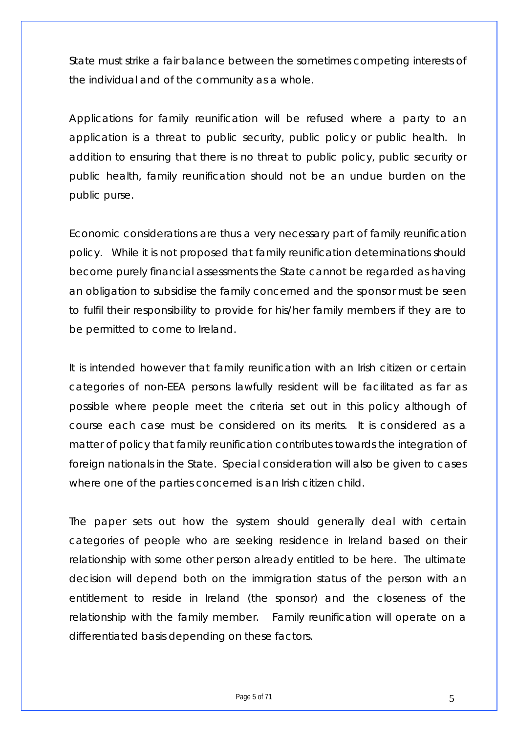State must strike a fair balance between the sometimes competing interests of the individual and of the community as a whole.

Applications for family reunification will be refused where a party to an application is a threat to public security, public policy or public health. In addition to ensuring that there is no threat to public policy, public security or public health, family reunification should not be an undue burden on the public purse.

Economic considerations are thus a very necessary part of family reunification policy. While it is not proposed that family reunification determinations should become purely financial assessments the State cannot be regarded as having an obligation to subsidise the family concerned and the sponsor must be seen to fulfil their responsibility to provide for his/her family members if they are to be permitted to come to Ireland.

It is intended however that family reunification with an Irish citizen or certain categories of non-EEA persons lawfully resident will be facilitated as far as possible where people meet the criteria set out in this policy although of course each case must be considered on its merits. It is considered as a matter of policy that family reunification contributes towards the integration of foreign nationals in the State. Special consideration will also be given to cases where one of the parties concerned is an Irish citizen child.

The paper sets out how the system should generally deal with certain categories of people who are seeking residence in Ireland based on their relationship with some other person already entitled to be here. The ultimate decision will depend both on the immigration status of the person with an entitlement to reside in Ireland (the sponsor) and the closeness of the relationship with the family member. Family reunification will operate on a differentiated basis depending on these factors.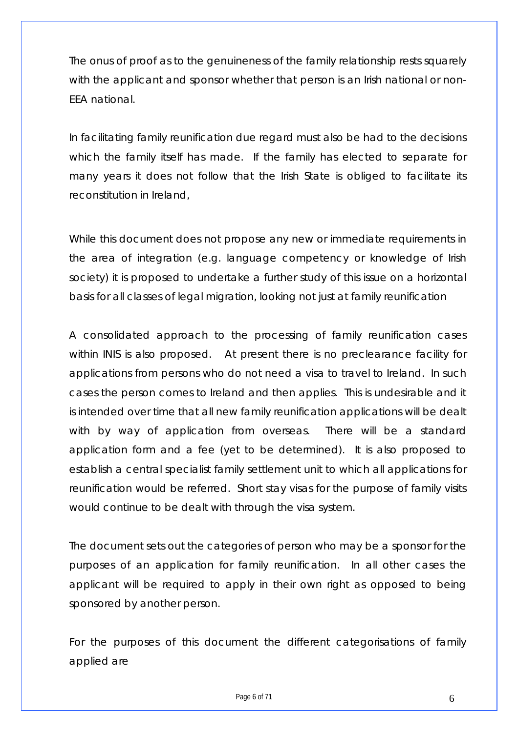The onus of proof as to the genuineness of the family relationship rests squarely with the applicant and sponsor whether that person is an Irish national or non-EEA national.

In facilitating family reunification due regard must also be had to the decisions which the family itself has made. If the family has elected to separate for many years it does not follow that the Irish State is obliged to facilitate its reconstitution in Ireland,

While this document does not propose any new or immediate requirements in the area of integration (e.g. language competency or knowledge of Irish society) it is proposed to undertake a further study of this issue on a horizontal basis for all classes of legal migration, looking not just at family reunification

A consolidated approach to the processing of family reunification cases within INIS is also proposed. At present there is no preclearance facility for applications from persons who do not need a visa to travel to Ireland. In such cases the person comes to Ireland and then applies. This is undesirable and it is intended over time that all new family reunification applications will be dealt with by way of application from overseas. There will be a standard application form and a fee (yet to be determined). It is also proposed to establish a central specialist family settlement unit to which all applications for reunification would be referred. Short stay visas for the purpose of family visits would continue to be dealt with through the visa system.

The document sets out the categories of person who may be a sponsor for the purposes of an application for family reunification. In all other cases the applicant will be required to apply in their own right as opposed to being sponsored by another person.

For the purposes of this document the different categorisations of family applied are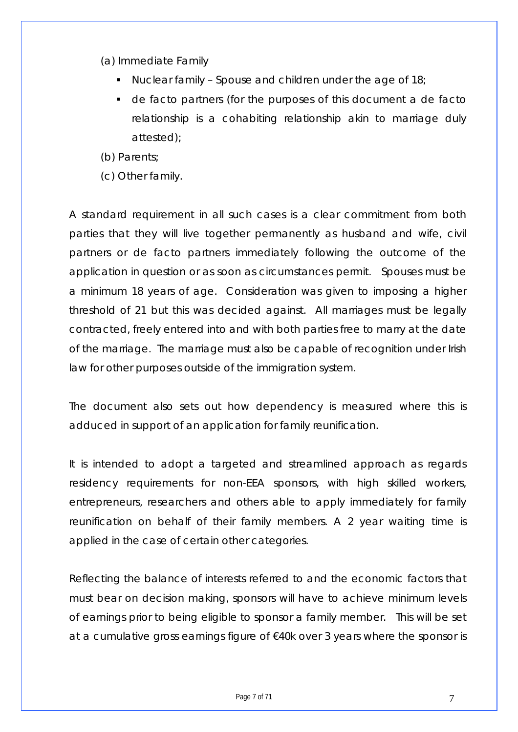(a) Immediate Family

- $\blacksquare$  Nuclear family Spouse and children under the age of 18;
- de facto partners (for the purposes of this document a de facto relationship is a cohabiting relationship akin to marriage duly attested);

(b) Parents;

(c) Other family.

A standard requirement in all such cases is a clear commitment from both parties that they will live together permanently as husband and wife, civil partners or de facto partners immediately following the outcome of the application in question or as soon as circumstances permit. Spouses must be a minimum 18 years of age. Consideration was given to imposing a higher threshold of 21 but this was decided against. All marriages must be legally contracted, freely entered into and with both parties free to marry at the date of the marriage. The marriage must also be capable of recognition under Irish law for other purposes outside of the immigration system.

The document also sets out how dependency is measured where this is adduced in support of an application for family reunification.

It is intended to adopt a targeted and streamlined approach as regards residency requirements for non-EEA sponsors, with high skilled workers, entrepreneurs, researchers and others able to apply immediately for family reunification on behalf of their family members. A 2 year waiting time is applied in the case of certain other categories.

Reflecting the balance of interests referred to and the economic factors that must bear on decision making, sponsors will have to achieve minimum levels of earnings prior to being eligible to sponsor a family member. This will be set at a cumulative gross earnings figure of €40k over 3 years where the sponsor is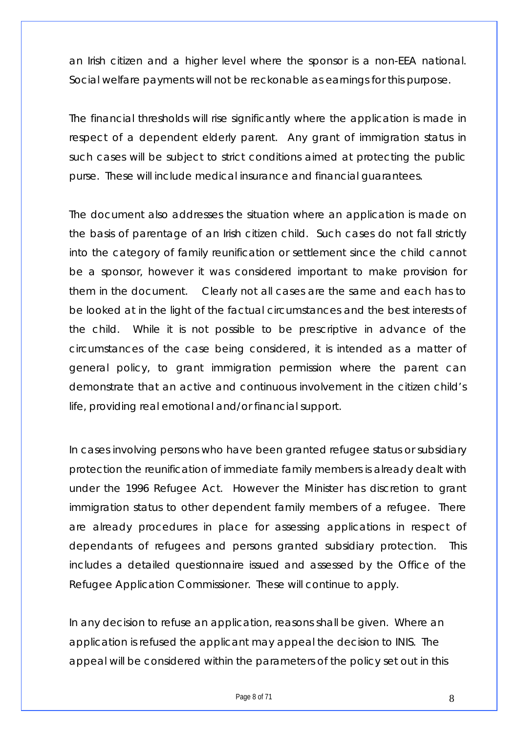an Irish citizen and a higher level where the sponsor is a non-EEA national. Social welfare payments will not be reckonable as earnings for this purpose.

The financial thresholds will rise significantly where the application is made in respect of a dependent elderly parent. Any grant of immigration status in such cases will be subject to strict conditions aimed at protecting the public purse. These will include medical insurance and financial guarantees.

The document also addresses the situation where an application is made on the basis of parentage of an Irish citizen child. Such cases do not fall strictly into the category of family reunification or settlement since the child cannot be a sponsor, however it was considered important to make provision for them in the document. Clearly not all cases are the same and each has to be looked at in the light of the factual circumstances and the best interests of the child. While it is not possible to be prescriptive in advance of the circumstances of the case being considered, it is intended as a matter of general policy, to grant immigration permission where the parent can demonstrate that an active and continuous involvement in the citizen child's life, providing real emotional and/or financial support.

In cases involving persons who have been granted refugee status or subsidiary protection the reunification of immediate family members is already dealt with under the 1996 Refugee Act. However the Minister has discretion to grant immigration status to other dependent family members of a refugee. There are already procedures in place for assessing applications in respect of dependants of refugees and persons granted subsidiary protection. This includes a detailed questionnaire issued and assessed by the Office of the Refugee Application Commissioner. These will continue to apply.

In any decision to refuse an application, reasons shall be given. Where an application is refused the applicant may appeal the decision to INIS. The appeal will be considered within the parameters of the policy set out in this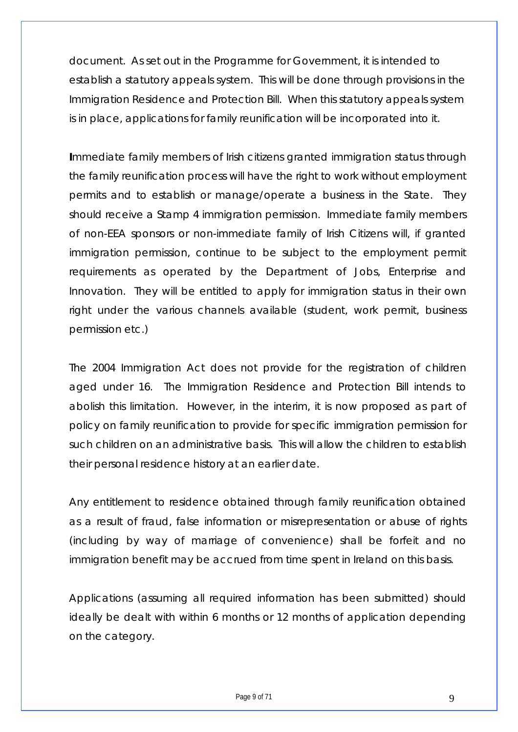document. As set out in the Programme for Government, it is intended to establish a statutory appeals system. This will be done through provisions in the Immigration Residence and Protection Bill. When this statutory appeals system is in place, applications for family reunification will be incorporated into it.

**I**mmediate family members of Irish citizens granted immigration status through the family reunification process will have the right to work without employment permits and to establish or manage/operate a business in the State. They should receive a Stamp 4 immigration permission. Immediate family members of non-EEA sponsors or non-immediate family of Irish Citizens will, if granted immigration permission, continue to be subject to the employment permit requirements as operated by the Department of Jobs, Enterprise and Innovation. They will be entitled to apply for immigration status in their own right under the various channels available (student, work permit, business permission etc.)

The 2004 Immigration Act does not provide for the registration of children aged under 16. The Immigration Residence and Protection Bill intends to abolish this limitation. However, in the interim, it is now proposed as part of policy on family reunification to provide for specific immigration permission for such children on an administrative basis. This will allow the children to establish their personal residence history at an earlier date.

Any entitlement to residence obtained through family reunification obtained as a result of fraud, false information or misrepresentation or abuse of rights (including by way of marriage of convenience) shall be forfeit and no immigration benefit may be accrued from time spent in Ireland on this basis.

Applications (assuming all required information has been submitted) should ideally be dealt with within 6 months or 12 months of application depending on the category.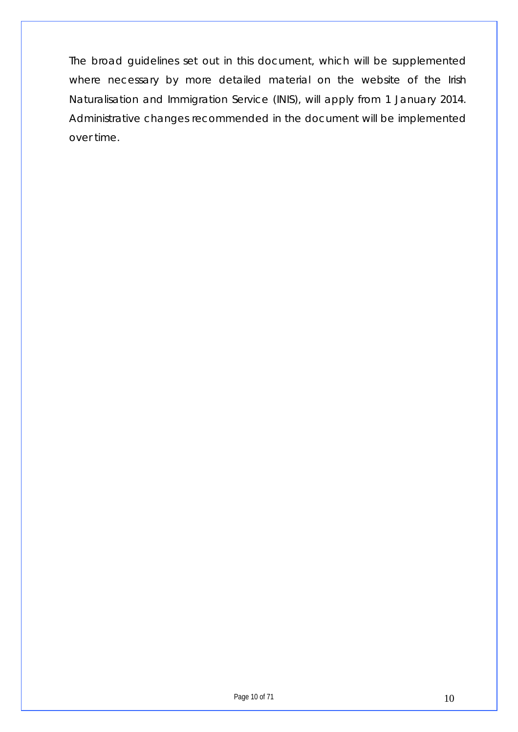The broad guidelines set out in this document, which will be supplemented where necessary by more detailed material on the website of the Irish Naturalisation and Immigration Service (INIS), will apply from 1 January 2014. Administrative changes recommended in the document will be implemented over time.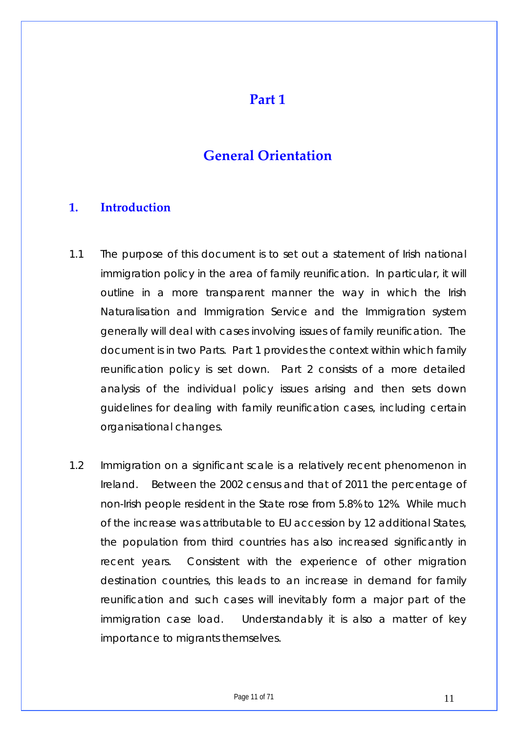## **Part 1**

## **General Orientation**

## <span id="page-10-0"></span>**1. Introduction**

- 1.1 The purpose of this document is to set out a statement of Irish national immigration policy in the area of family reunification. In particular, it will outline in a more transparent manner the way in which the Irish Naturalisation and Immigration Service and the Immigration system generally will deal with cases involving issues of family reunification. The document is in two Parts. Part 1 provides the context within which family reunification policy is set down. Part 2 consists of a more detailed analysis of the individual policy issues arising and then sets down guidelines for dealing with family reunification cases, including certain organisational changes.
- 1.2 Immigration on a significant scale is a relatively recent phenomenon in Ireland. Between the 2002 census and that of 2011 the percentage of non-Irish people resident in the State rose from 5.8% to 12%. While much of the increase was attributable to EU accession by 12 additional States, the population from third countries has also increased significantly in recent years. Consistent with the experience of other migration destination countries, this leads to an increase in demand for family reunification and such cases will inevitably form a major part of the immigration case load. Understandably it is also a matter of key importance to migrants themselves.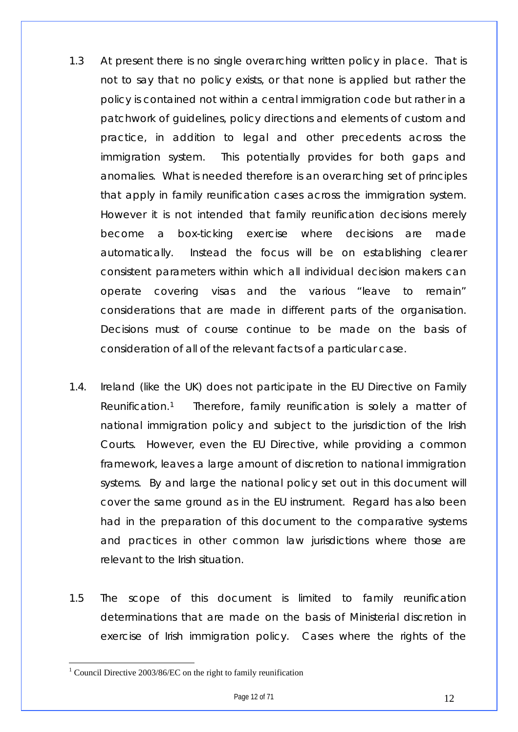- 1.3 At present there is no single overarching written policy in place. That is not to say that no policy exists, or that none is applied but rather the policy is contained not within a central immigration code but rather in a patchwork of guidelines, policy directions and elements of custom and practice, in addition to legal and other precedents across the immigration system. This potentially provides for both gaps and anomalies. What is needed therefore is an overarching set of principles that apply in family reunification cases across the immigration system. However it is not intended that family reunification decisions merely become a box-ticking exercise where decisions are made automatically. Instead the focus will be on establishing clearer consistent parameters within which all individual decision makers can operate covering visas and the various "leave to remain" considerations that are made in different parts of the organisation. Decisions must of course continue to be made on the basis of consideration of all of the relevant facts of a particular case.
- 1.4. Ireland (like the UK) does not participate in the EU Directive on Family Reunification.[1](#page-11-0) Therefore, family reunification is solely a matter of national immigration policy and subject to the jurisdiction of the Irish Courts. However, even the EU Directive, while providing a common framework, leaves a large amount of discretion to national immigration systems. By and large the national policy set out in this document will cover the same ground as in the EU instrument. Regard has also been had in the preparation of this document to the comparative systems and practices in other common law jurisdictions where those are relevant to the Irish situation.
- 1.5 The scope of this document is limited to family reunification determinations that are made on the basis of Ministerial discretion in exercise of Irish immigration policy. Cases where the rights of the

<span id="page-11-0"></span><sup>&</sup>lt;sup>1</sup> Council Directive 2003/86/EC on the right to family reunification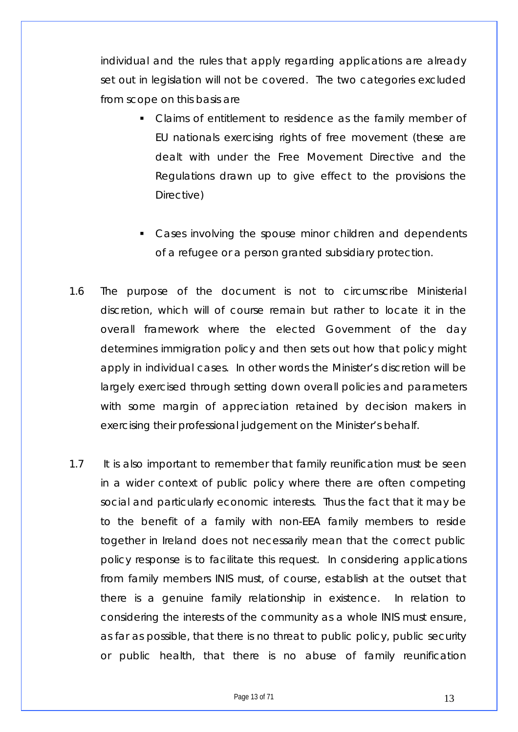individual and the rules that apply regarding applications are already set out in legislation will not be covered. The two categories excluded from scope on this basis are

- Claims of entitlement to residence as the family member of EU nationals exercising rights of free movement (these are dealt with under the Free Movement Directive and the Regulations drawn up to give effect to the provisions the Directive)
- Cases involving the spouse minor children and dependents of a refugee or a person granted subsidiary protection.
- 1.6 The purpose of the document is not to circumscribe Ministerial discretion, which will of course remain but rather to locate it in the overall framework where the elected Government of the day determines immigration policy and then sets out how that policy might apply in individual cases. In other words the Minister's discretion will be largely exercised through setting down overall policies and parameters with some margin of appreciation retained by decision makers in exercising their professional judgement on the Minister's behalf.
- 1.7 It is also important to remember that family reunification must be seen in a wider context of public policy where there are often competing social and particularly economic interests. Thus the fact that it may be to the benefit of a family with non-EEA family members to reside together in Ireland does not necessarily mean that the correct public policy response is to facilitate this request. In considering applications from family members INIS must, of course, establish at the outset that there is a genuine family relationship in existence. In relation to considering the interests of the community as a whole INIS must ensure, as far as possible, that there is no threat to public policy, public security or public health, that there is no abuse of family reunification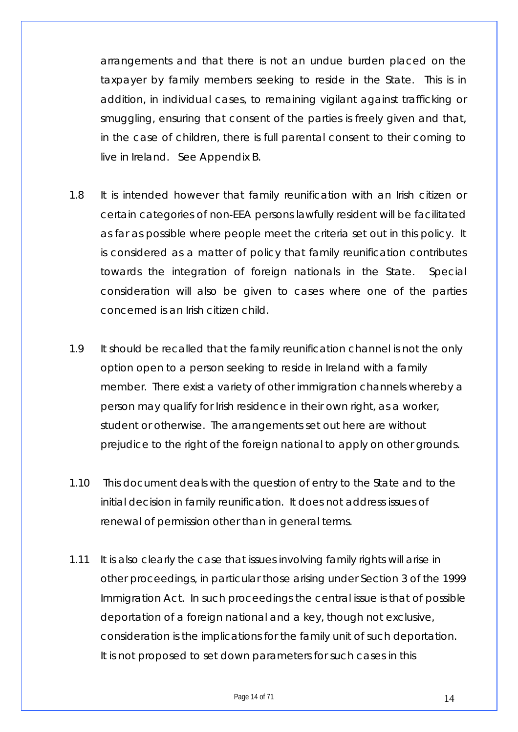arrangements and that there is not an undue burden placed on the taxpayer by family members seeking to reside in the State. This is in addition, in individual cases, to remaining vigilant against trafficking or smuggling, ensuring that consent of the parties is freely given and that, in the case of children, there is full parental consent to their coming to live in Ireland. See Appendix B.

- 1.8 It is intended however that family reunification with an Irish citizen or certain categories of non-EEA persons lawfully resident will be facilitated as far as possible where people meet the criteria set out in this policy. It is considered as a matter of policy that family reunification contributes towards the integration of foreign nationals in the State. Special consideration will also be given to cases where one of the parties concerned is an Irish citizen child.
- 1.9 It should be recalled that the family reunification channel is not the only option open to a person seeking to reside in Ireland with a family member. There exist a variety of other immigration channels whereby a person may qualify for Irish residence in their own right, as a worker, student or otherwise. The arrangements set out here are without prejudice to the right of the foreign national to apply on other grounds.
- 1.10 This document deals with the question of entry to the State and to the initial decision in family reunification. It does not address issues of renewal of permission other than in general terms.
- 1.11 It is also clearly the case that issues involving family rights will arise in other proceedings, in particular those arising under Section 3 of the 1999 Immigration Act. In such proceedings the central issue is that of possible deportation of a foreign national and a key, though not exclusive, consideration is the implications for the family unit of such deportation. It is not proposed to set down parameters for such cases in this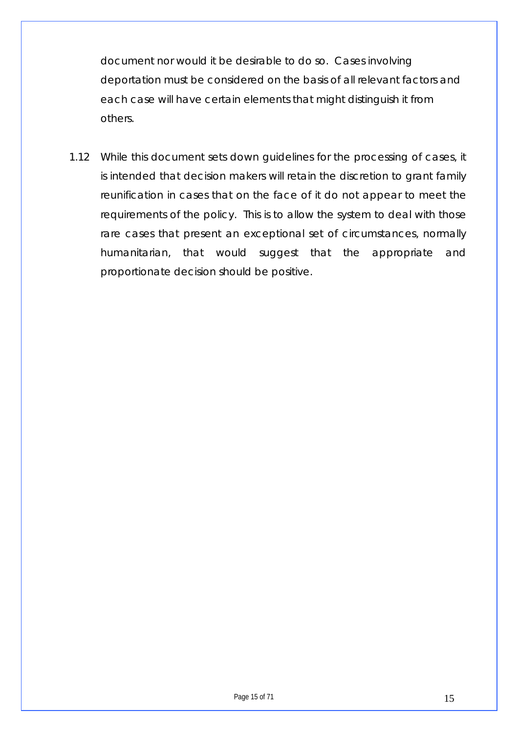document nor would it be desirable to do so. Cases involving deportation must be considered on the basis of all relevant factors and each case will have certain elements that might distinguish it from others.

1.12 While this document sets down guidelines for the processing of cases, it is intended that decision makers will retain the discretion to grant family reunification in cases that on the face of it do not appear to meet the requirements of the policy. This is to allow the system to deal with those rare cases that present an exceptional set of circumstances, normally humanitarian, that would suggest that the appropriate and proportionate decision should be positive.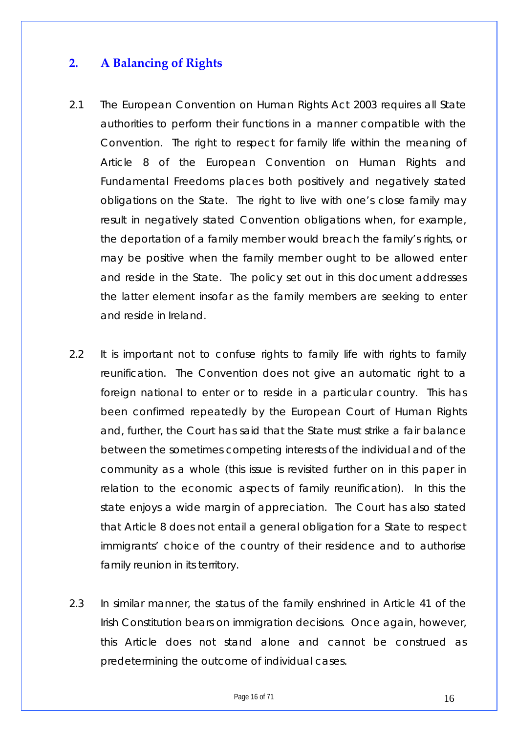## <span id="page-15-0"></span>**2. A Balancing of Rights**

- 2.1 The European Convention on Human Rights Act 2003 requires all State authorities to perform their functions in a manner compatible with the Convention. The right to respect for family life within the meaning of Article 8 of the European Convention on Human Rights and Fundamental Freedoms places both positively and negatively stated obligations on the State. The right to live with one's close family may result in negatively stated Convention obligations when, for example, the deportation of a family member would breach the family's rights, or may be positive when the family member ought to be allowed enter and reside in the State. The policy set out in this document addresses the latter element insofar as the family members are seeking to enter and reside in Ireland.
- 2.2 It is important not to confuse rights to family life with rights to family reunification. The Convention does not give an automatic right to a foreign national to enter or to reside in a particular country. This has been confirmed repeatedly by the European Court of Human Rights and, further, the Court has said that the State must strike a fair balance between the sometimes competing interests of the individual and of the community as a whole (this issue is revisited further on in this paper in relation to the economic aspects of family reunification). In this the state enjoys a wide margin of appreciation. The Court has also stated that Article 8 does not entail a general obligation for a State to respect immigrants' choice of the country of their residence and to authorise family reunion in its territory.
- 2.3 In similar manner, the status of the family enshrined in Article 41 of the Irish Constitution bears on immigration decisions. Once again, however, this Article does not stand alone and cannot be construed as predetermining the outcome of individual cases.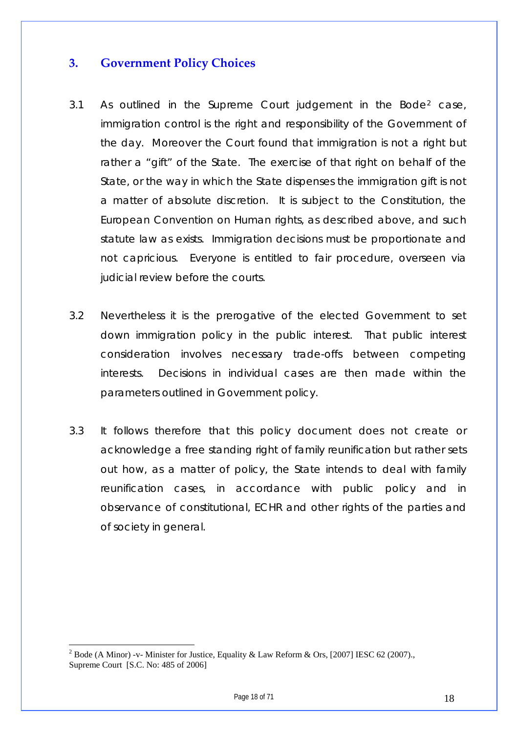### <span id="page-17-0"></span>**3. Government Policy Choices**

- 3.1 As outlined in the Supreme Court judgement in the Bode[2](#page-17-1) case, immigration control is the right and responsibility of the Government of the day. Moreover the Court found that immigration is not a right but rather a "gift" of the State. The exercise of that right on behalf of the State, or the way in which the State dispenses the immigration gift is not a matter of absolute discretion. It is subject to the Constitution, the European Convention on Human rights, as described above, and such statute law as exists. Immigration decisions must be proportionate and not capricious. Everyone is entitled to fair procedure, overseen via judicial review before the courts.
- 3.2 Nevertheless it is the prerogative of the elected Government to set down immigration policy in the public interest. That public interest consideration involves necessary trade-offs between competing interests. Decisions in individual cases are then made within the parameters outlined in Government policy.
- 3.3 It follows therefore that this policy document does not create or acknowledge a free standing right of family reunification but rather sets out how, as a matter of policy, the State intends to deal with family reunification cases, in accordance with public policy and in observance of constitutional, ECHR and other rights of the parties and of society in general.

<span id="page-17-1"></span><sup>&</sup>lt;sup>2</sup> Bode (A Minor) -v- Minister for Justice, Equality & Law Reform & Ors, [2007] IESC 62 (2007)., Supreme Court [S.C. No: 485 of 2006]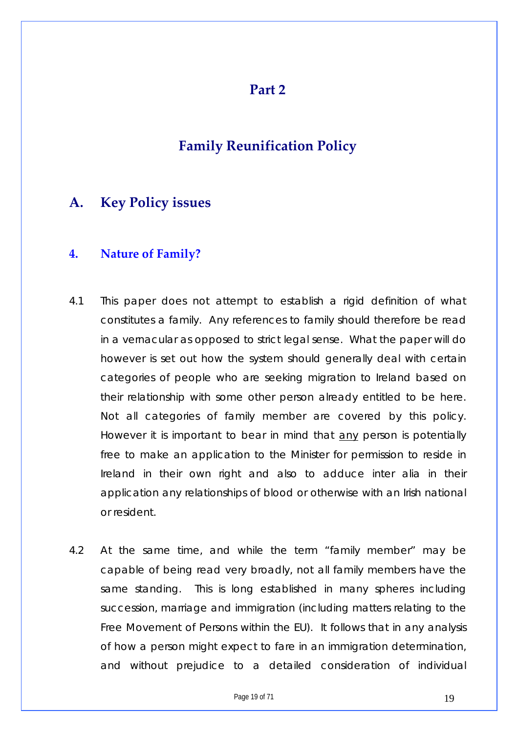#### **Part 2**

## **Family Reunification Policy**

## <span id="page-18-0"></span>**A. Key Policy issues**

#### **4. Nature of Family?**

- 4.1 This paper does not attempt to establish a rigid definition of what constitutes a family. Any references to family should therefore be read in a vernacular as opposed to strict legal sense. What the paper will do however is set out how the system should generally deal with certain categories of people who are seeking migration to Ireland based on their relationship with some other person already entitled to be here. Not all categories of family member are covered by this policy. However it is important to bear in mind that <u>any</u> person is potentially free to make an application to the Minister for permission to reside in Ireland in their own right and also to adduce inter alia in their application any relationships of blood or otherwise with an Irish national or resident.
- 4.2 At the same time, and while the term "family member" may be capable of being read very broadly, not all family members have the same standing. This is long established in many spheres including succession, marriage and immigration (including matters relating to the Free Movement of Persons within the EU). It follows that in any analysis of how a person might expect to fare in an immigration determination, and without prejudice to a detailed consideration of individual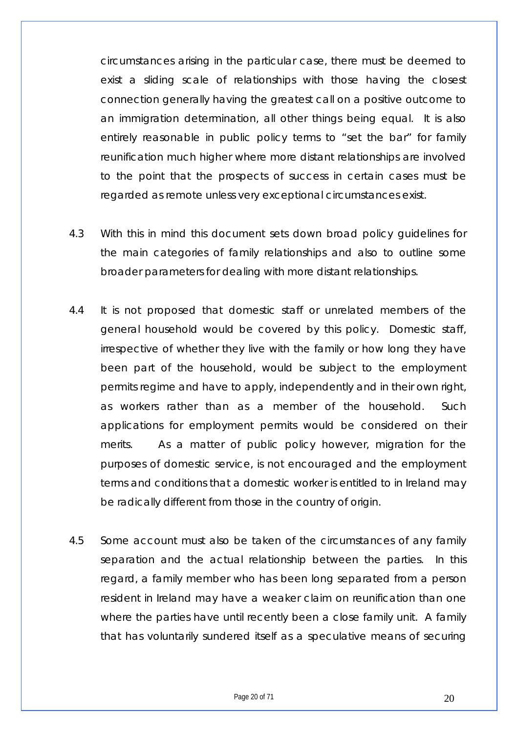circumstances arising in the particular case, there must be deemed to exist a sliding scale of relationships with those having the closest connection generally having the greatest call on a positive outcome to an immigration determination, all other things being equal. It is also entirely reasonable in public policy terms to "set the bar" for family reunification much higher where more distant relationships are involved to the point that the prospects of success in certain cases must be regarded as remote unless very exceptional circumstances exist.

- 4.3 With this in mind this document sets down broad policy guidelines for the main categories of family relationships and also to outline some broader parameters for dealing with more distant relationships.
- 4.4 It is not proposed that domestic staff or unrelated members of the general household would be covered by this policy. Domestic staff, irrespective of whether they live with the family or how long they have been part of the household, would be subject to the employment permits regime and have to apply, independently and in their own right, as workers rather than as a member of the household. Such applications for employment permits would be considered on their merits. As a matter of public policy however, migration for the purposes of domestic service, is not encouraged and the employment terms and conditions that a domestic worker is entitled to in Ireland may be radically different from those in the country of origin.
- 4.5 Some account must also be taken of the circumstances of any family separation and the actual relationship between the parties. In this regard, a family member who has been long separated from a person resident in Ireland may have a weaker claim on reunification than one where the parties have until recently been a close family unit. A family that has voluntarily sundered itself as a speculative means of securing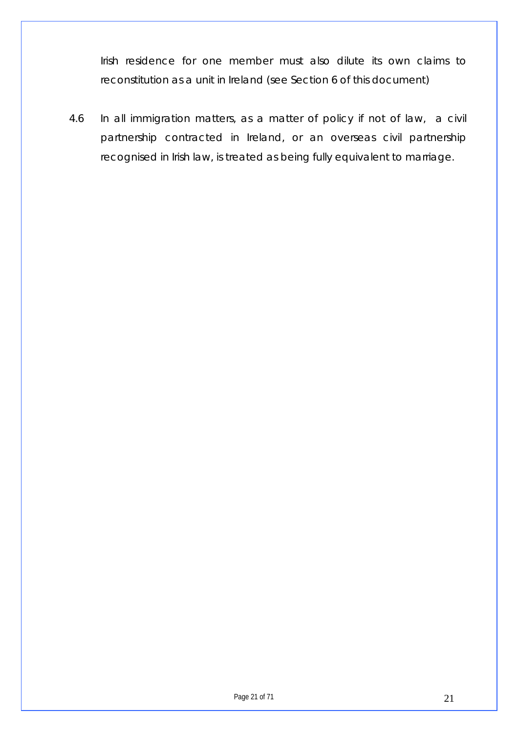Irish residence for one member must also dilute its own claims to reconstitution as a unit in Ireland (see Section 6 of this document)

4.6 In all immigration matters, as a matter of policy if not of law, a civil partnership contracted in Ireland, or an overseas civil partnership recognised in Irish law, is treated as being fully equivalent to marriage.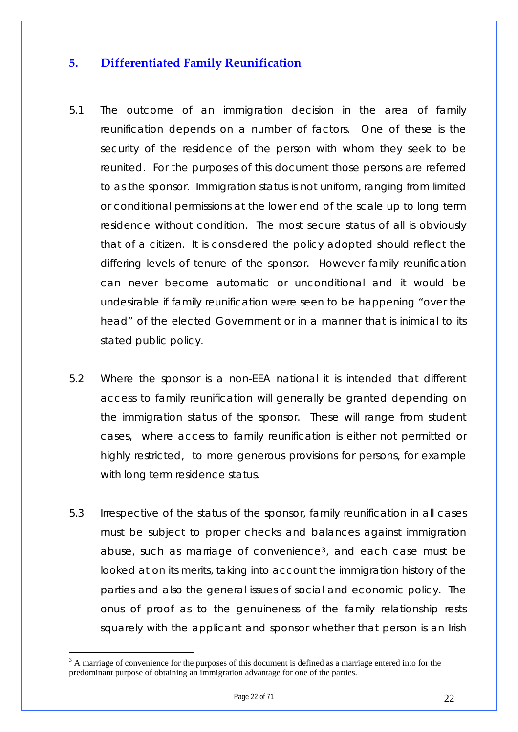## <span id="page-21-0"></span>**5. Differentiated Family Reunification**

- 5.1 The outcome of an immigration decision in the area of family reunification depends on a number of factors. One of these is the security of the residence of the person with whom they seek to be reunited. For the purposes of this document those persons are referred to as the sponsor. Immigration status is not uniform, ranging from limited or conditional permissions at the lower end of the scale up to long term residence without condition. The most secure status of all is obviously that of a citizen. It is considered the policy adopted should reflect the differing levels of tenure of the sponsor. However family reunification can never become automatic or unconditional and it would be undesirable if family reunification were seen to be happening "over the head" of the elected Government or in a manner that is inimical to its stated public policy.
- 5.2 Where the sponsor is a non-EEA national it is intended that different access to family reunification will generally be granted depending on the immigration status of the sponsor. These will range from student cases, where access to family reunification is either not permitted or highly restricted, to more generous provisions for persons, for example with long term residence status.
- 5.3 Irrespective of the status of the sponsor, family reunification in all cases must be subject to proper checks and balances against immigration abuse, such as marriage of convenience[3](#page-21-1), and each case must be looked at on its merits, taking into account the immigration history of the parties and also the general issues of social and economic policy. The onus of proof as to the genuineness of the family relationship rests squarely with the applicant and sponsor whether that person is an Irish

<span id="page-21-1"></span><sup>&</sup>lt;sup>3</sup> A marriage of convenience for the purposes of this document is defined as a marriage entered into for the predominant purpose of obtaining an immigration advantage for one of the parties.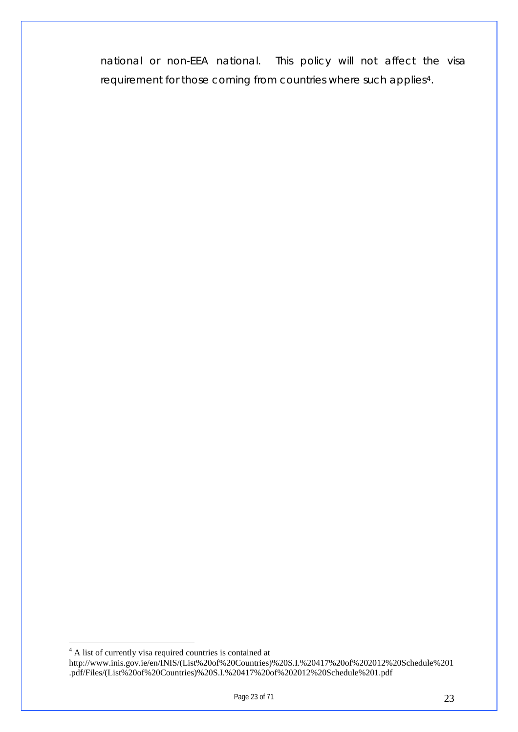national or non-EEA national. This policy will not affect the visa requirement for those coming from countries where such applies[4](#page-22-0).

<span id="page-22-0"></span> $\overline{a}$ <sup>4</sup> A list of currently visa required countries is contained at http://www.inis.gov.ie/en/INIS/(List%20of%20Countries)%20S.I.%20417%20of%202012%20Schedule%201 .pdf/Files/(List%20of%20Countries)%20S.I.%20417%20of%202012%20Schedule%201.pdf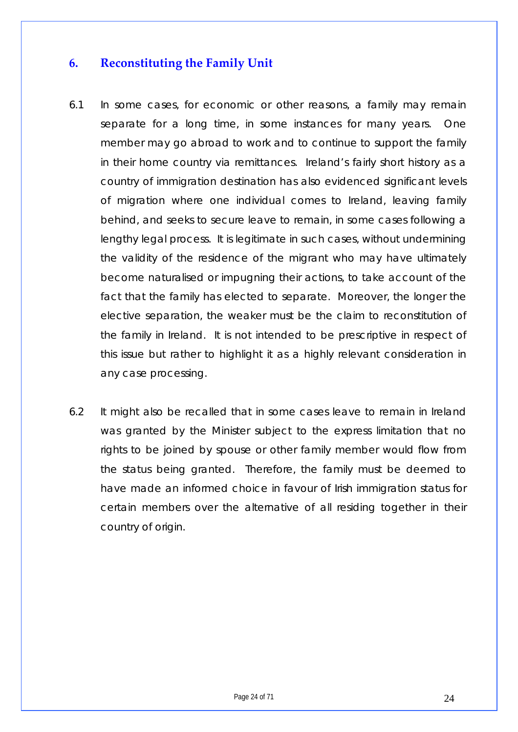## <span id="page-23-0"></span>**6. Reconstituting the Family Unit**

- 6.1 In some cases, for economic or other reasons, a family may remain separate for a long time, in some instances for many years. One member may go abroad to work and to continue to support the family in their home country via remittances. Ireland's fairly short history as a country of immigration destination has also evidenced significant levels of migration where one individual comes to Ireland, leaving family behind, and seeks to secure leave to remain, in some cases following a lengthy legal process. It is legitimate in such cases, without undermining the validity of the residence of the migrant who may have ultimately become naturalised or impugning their actions, to take account of the fact that the family has elected to separate. Moreover, the longer the elective separation, the weaker must be the claim to reconstitution of the family in Ireland. It is not intended to be prescriptive in respect of this issue but rather to highlight it as a highly relevant consideration in any case processing.
- 6.2 It might also be recalled that in some cases leave to remain in Ireland was granted by the Minister subject to the express limitation that no rights to be joined by spouse or other family member would flow from the status being granted. Therefore, the family must be deemed to have made an informed choice in favour of Irish immigration status for certain members over the alternative of all residing together in their country of origin.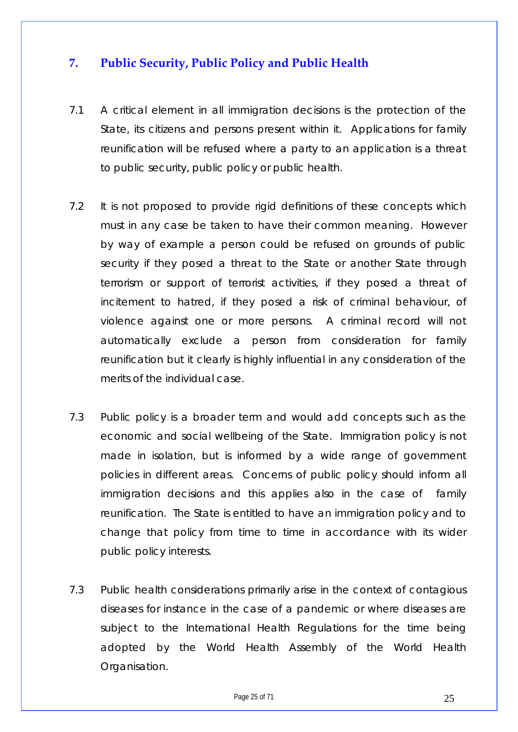## <span id="page-24-0"></span>**7. Public Security, Public Policy and Public Health**

- 7.1 A critical element in all immigration decisions is the protection of the State, its citizens and persons present within it. Applications for family reunification will be refused where a party to an application is a threat to public security, public policy or public health.
- 7.2 It is not proposed to provide rigid definitions of these concepts which must in any case be taken to have their common meaning. However by way of example a person could be refused on grounds of public security if they posed a threat to the State or another State through terrorism or support of terrorist activities, if they posed a threat of incitement to hatred, if they posed a risk of criminal behaviour, of violence against one or more persons. A criminal record will not automatically exclude a person from consideration for family reunification but it clearly is highly influential in any consideration of the merits of the individual case.
- 7.3 Public policy is a broader term and would add concepts such as the economic and social wellbeing of the State. Immigration policy is not made in isolation, but is informed by a wide range of government policies in different areas. Concerns of public policy should inform all immigration decisions and this applies also in the case of family reunification. The State is entitled to have an immigration policy and to change that policy from time to time in accordance with its wider public policy interests.
- 7.3 Public health considerations primarily arise in the context of contagious diseases for instance in the case of a pandemic or where diseases are subject to the International Health Regulations for the time being adopted by the World Health Assembly of the World Health Organisation.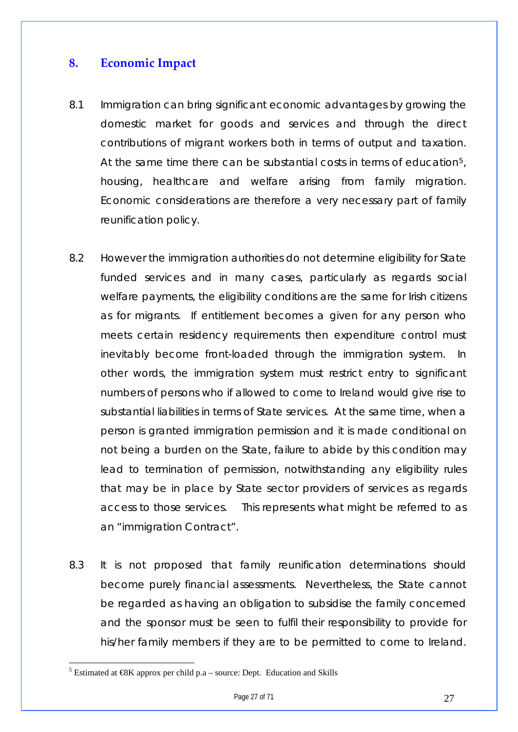## <span id="page-26-0"></span>**8. Economic Impact**

- 8.1 Immigration can bring significant economic advantages by growing the domestic market for goods and services and through the direct contributions of migrant workers both in terms of output and taxation. At the same time there can be substantial costs in terms of education[5](#page-26-1), housing, healthcare and welfare arising from family migration. Economic considerations are therefore a very necessary part of family reunification policy.
- 8.2 However the immigration authorities do not determine eligibility for State funded services and in many cases, particularly as regards social welfare payments, the eligibility conditions are the same for Irish citizens as for migrants. If entitlement becomes a given for any person who meets certain residency requirements then expenditure control must inevitably become front-loaded through the immigration system. In other words, the immigration system must restrict entry to significant numbers of persons who if allowed to come to Ireland would give rise to substantial liabilities in terms of State services. At the same time, when a person is granted immigration permission and it is made conditional on not being a burden on the State, failure to abide by this condition may lead to termination of permission, notwithstanding any eligibility rules that may be in place by State sector providers of services as regards access to those services. This represents what might be referred to as an "immigration Contract".
- 8.3 It is not proposed that family reunification determinations should become purely financial assessments. Nevertheless, the State cannot be regarded as having an obligation to subsidise the family concerned and the sponsor must be seen to fulfil their responsibility to provide for his/her family members if they are to be permitted to come to Ireland.

<span id="page-26-1"></span><sup>&</sup>lt;sup>5</sup> Estimated at  $\mathcal{R}K$  approx per child p.a – source: Dept. Education and Skills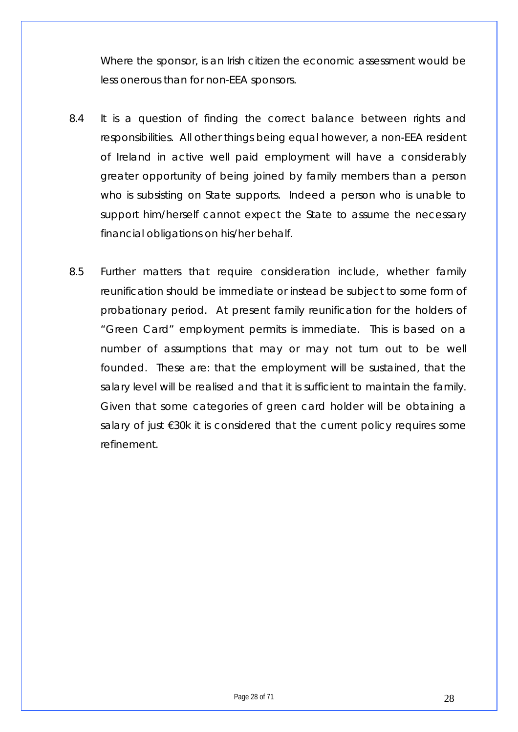Where the sponsor, is an Irish citizen the economic assessment would be less onerous than for non-EEA sponsors.

- 8.4 It is a question of finding the correct balance between rights and responsibilities. All other things being equal however, a non-EEA resident of Ireland in active well paid employment will have a considerably greater opportunity of being joined by family members than a person who is subsisting on State supports. Indeed a person who is unable to support him/herself cannot expect the State to assume the necessary financial obligations on his/her behalf.
- 8.5 Further matters that require consideration include, whether family reunification should be immediate or instead be subject to some form of probationary period. At present family reunification for the holders of "Green Card" employment permits is immediate. This is based on a number of assumptions that may or may not turn out to be well founded. These are: that the employment will be sustained, that the salary level will be realised and that it is sufficient to maintain the family. Given that some categories of green card holder will be obtaining a salary of just €30k it is considered that the current policy requires some refinement.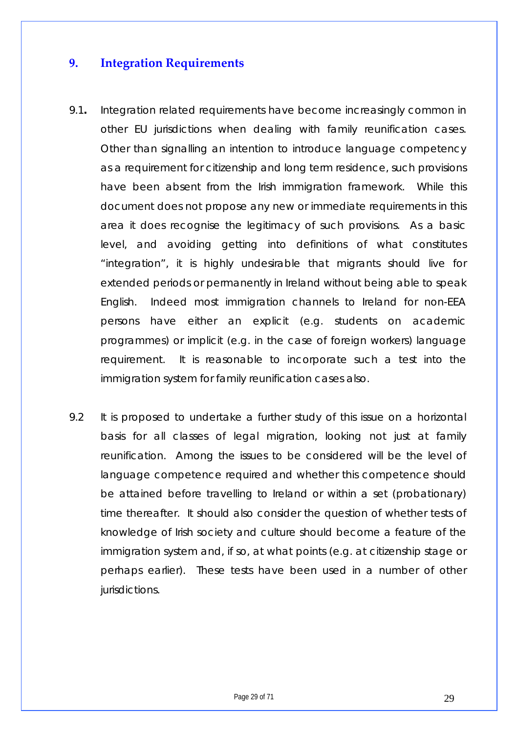## <span id="page-28-0"></span>**9. Integration Requirements**

- 9.1**.** Integration related requirements have become increasingly common in other EU jurisdictions when dealing with family reunification cases. Other than signalling an intention to introduce language competency as a requirement for citizenship and long term residence, such provisions have been absent from the Irish immigration framework. While this document does not propose any new or immediate requirements in this area it does recognise the legitimacy of such provisions. As a basic level, and avoiding getting into definitions of what constitutes "integration", it is highly undesirable that migrants should live for extended periods or permanently in Ireland without being able to speak English. Indeed most immigration channels to Ireland for non-EEA persons have either an explicit (e.g. students on academic programmes) or implicit (e.g. in the case of foreign workers) language requirement. It is reasonable to incorporate such a test into the immigration system for family reunification cases also.
- 9.2 It is proposed to undertake a further study of this issue on a horizontal basis for all classes of legal migration, looking not just at family reunification. Among the issues to be considered will be the level of language competence required and whether this competence should be attained before travelling to Ireland or within a set (probationary) time thereafter. It should also consider the question of whether tests of knowledge of Irish society and culture should become a feature of the immigration system and, if so, at what points (e.g. at citizenship stage or perhaps earlier). These tests have been used in a number of other jurisdictions.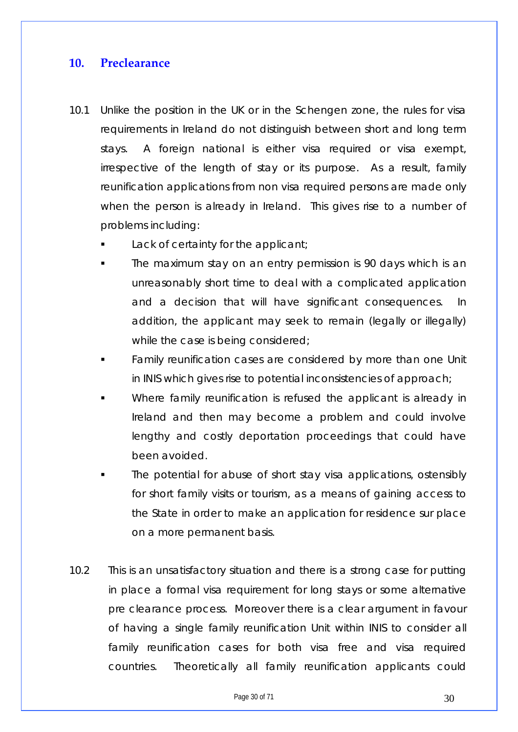#### <span id="page-29-0"></span>**10. Preclearance**

- 10.1 Unlike the position in the UK or in the Schengen zone, the rules for visa requirements in Ireland do not distinguish between short and long term stays. A foreign national is either visa required or visa exempt, irrespective of the length of stay or its purpose. As a result, family reunification applications from non visa required persons are made only when the person is already in Ireland. This gives rise to a number of problems including:
	- Lack of certainty for the applicant;
	- The maximum stay on an entry permission is 90 days which is an unreasonably short time to deal with a complicated application and a decision that will have significant consequences. In addition, the applicant may seek to remain (legally or illegally) while the case is being considered;
	- Family reunification cases are considered by more than one Unit in INIS which gives rise to potential inconsistencies of approach;
	- Where family reunification is refused the applicant is already in Ireland and then may become a problem and could involve lengthy and costly deportation proceedings that could have been avoided.
	- The potential for abuse of short stay visa applications, ostensibly for short family visits or tourism, as a means of gaining access to the State in order to make an application for residence sur place on a more permanent basis.
- 10.2 This is an unsatisfactory situation and there is a strong case for putting in place a formal visa requirement for long stays or some alternative pre clearance process. Moreover there is a clear argument in favour of having a single family reunification Unit within INIS to consider all family reunification cases for both visa free and visa required countries. Theoretically all family reunification applicants could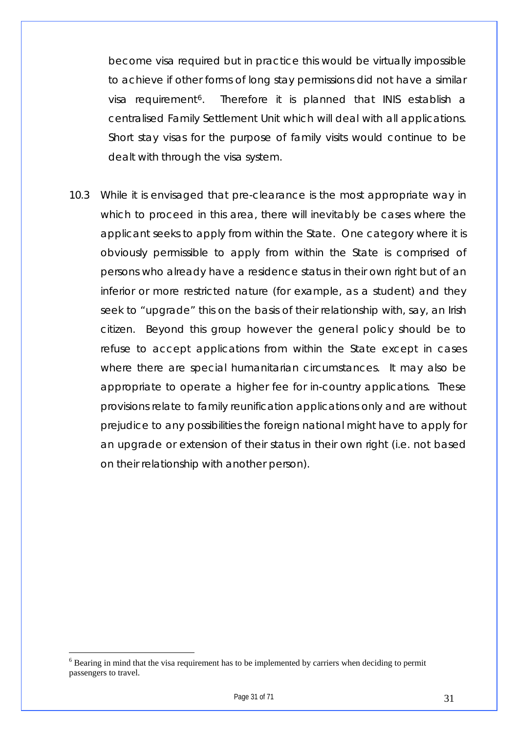become visa required but in practice this would be virtually impossible to achieve if other forms of long stay permissions did not have a similar visa requirement<sup>[6](#page-30-0)</sup>. Therefore it is planned that INIS establish a centralised Family Settlement Unit which will deal with all applications. Short stay visas for the purpose of family visits would continue to be dealt with through the visa system.

10.3 While it is envisaged that pre-clearance is the most appropriate way in which to proceed in this area, there will inevitably be cases where the applicant seeks to apply from within the State. One category where it is obviously permissible to apply from within the State is comprised of persons who already have a residence status in their own right but of an inferior or more restricted nature (for example, as a student) and they seek to "upgrade" this on the basis of their relationship with, say, an Irish citizen. Beyond this group however the general policy should be to refuse to accept applications from within the State except in cases where there are special humanitarian circumstances. It may also be appropriate to operate a higher fee for in-country applications. These provisions relate to family reunification applications only and are without prejudice to any possibilities the foreign national might have to apply for an upgrade or extension of their status in their own right (i.e. not based on their relationship with another person).

<span id="page-30-0"></span> $6$  Bearing in mind that the visa requirement has to be implemented by carriers when deciding to permit passengers to travel.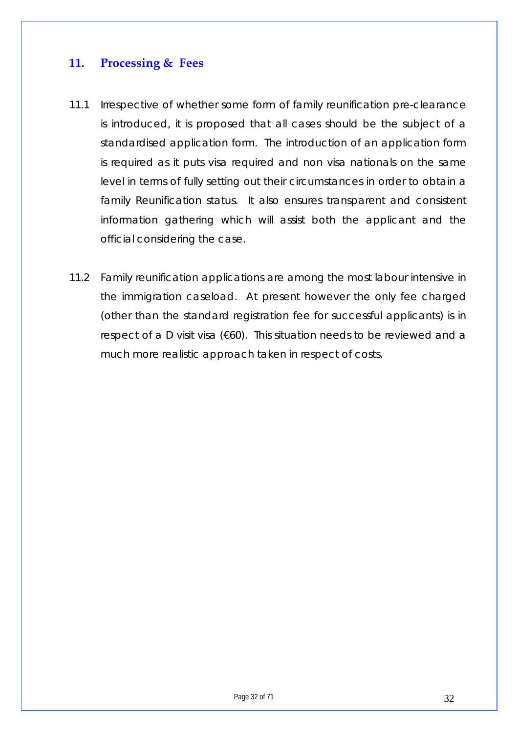## <span id="page-31-0"></span>**11. Processing & Fees**

- 11.1 Irrespective of whether some form of family reunification pre-clearance is introduced, it is proposed that all cases should be the subject of a standardised application form. The introduction of an application form is required as it puts visa required and non visa nationals on the same level in terms of fully setting out their circumstances in order to obtain a family Reunification status. It also ensures transparent and consistent information gathering which will assist both the applicant and the official considering the case.
- 11.2 Family reunification applications are among the most labour intensive in the immigration caseload. At present however the only fee charged (other than the standard registration fee for successful applicants) is in respect of a D visit visa (€60). This situation needs to be reviewed and a much more realistic approach taken in respect of costs.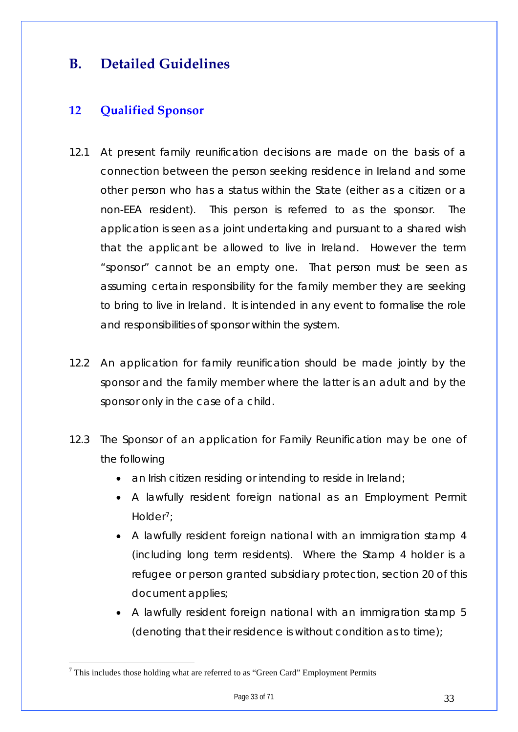## <span id="page-32-0"></span>**B. Detailed Guidelines**

## **12 Qualified Sponsor**

- 12.1 At present family reunification decisions are made on the basis of a connection between the person seeking residence in Ireland and some other person who has a status within the State (either as a citizen or a non-EEA resident). This person is referred to as the sponsor. The application is seen as a joint undertaking and pursuant to a shared wish that the applicant be allowed to live in Ireland. However the term "sponsor" cannot be an empty one. That person must be seen as assuming certain responsibility for the family member they are seeking to bring to live in Ireland. It is intended in any event to formalise the role and responsibilities of sponsor within the system.
- 12.2 An application for family reunification should be made jointly by the sponsor and the family member where the latter is an adult and by the sponsor only in the case of a child.
- 12.3 The Sponsor of an application for Family Reunification may be one of the following
	- an Irish citizen residing or intending to reside in Ireland;
	- A lawfully resident foreign national as an Employment Permit Holder[7](#page-32-1);
	- A lawfully resident foreign national with an immigration stamp 4 (including long term residents). Where the Stamp 4 holder is a refugee or person granted subsidiary protection, section 20 of this document applies;
	- A lawfully resident foreign national with an immigration stamp 5 (denoting that their residence is without condition as to time);

<span id="page-32-1"></span> $7$  This includes those holding what are referred to as "Green Card" Employment Permits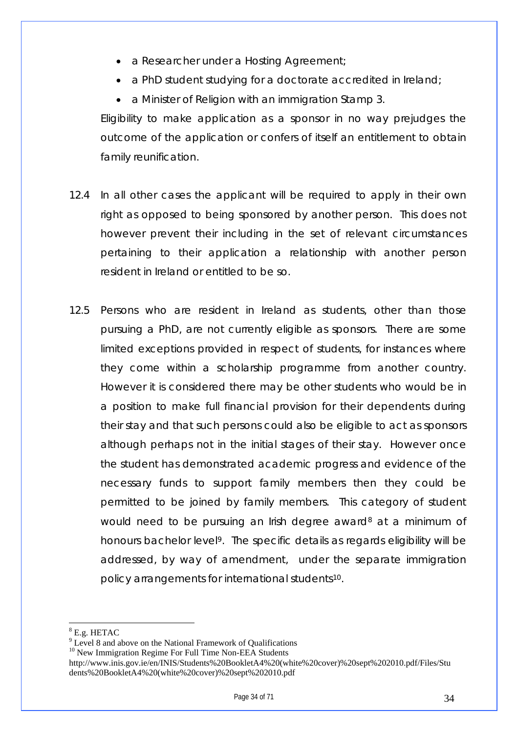- a Researcher under a Hosting Agreement;
- a PhD student studying for a doctorate accredited in Ireland;
- a Minister of Religion with an immigration Stamp 3.

Eligibility to make application as a sponsor in no way prejudges the outcome of the application or confers of itself an entitlement to obtain family reunification.

- 12.4 In all other cases the applicant will be required to apply in their own right as opposed to being sponsored by another person. This does not however prevent their including in the set of relevant circumstances pertaining to their application a relationship with another person resident in Ireland or entitled to be so.
- 12.5 Persons who are resident in Ireland as students, other than those pursuing a PhD, are not currently eligible as sponsors. There are some limited exceptions provided in respect of students, for instances where they come within a scholarship programme from another country. However it is considered there may be other students who would be in a position to make full financial provision for their dependents during their stay and that such persons could also be eligible to act as sponsors although perhaps not in the initial stages of their stay. However once the student has demonstrated academic progress and evidence of the necessary funds to support family members then they could be permitted to be joined by family members. This category of student would need to be pursuing an Irish degree award<sup>[8](#page-33-0)</sup> at a minimum of honours bachelor level<sup>[9](#page-33-1)</sup>. The specific details as regards eligibility will be addressed, by way of amendment, under the separate immigration policy arrangements for international students[10](#page-33-2).

 $\overline{a}$ 

<span id="page-33-2"></span><sup>10</sup> New Immigration Regime For Full Time Non-EEA Students

<span id="page-33-0"></span><sup>8</sup> E.g. HETAC

<span id="page-33-1"></span><sup>&</sup>lt;sup>9</sup> Level 8 and above on the National Framework of Qualifications

http://www.inis.gov.ie/en/INIS/Students%20BookletA4%20(white%20cover)%20sept%202010.pdf/Files/Stu dents%20BookletA4%20(white%20cover)%20sept%202010.pdf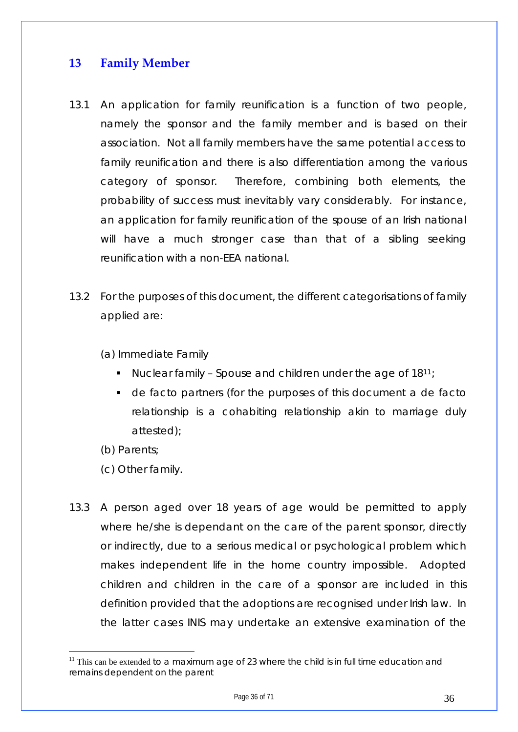## <span id="page-35-0"></span>**13 Family Member**

- 13.1 An application for family reunification is a function of two people, namely the sponsor and the family member and is based on their association. Not all family members have the same potential access to family reunification and there is also differentiation among the various category of sponsor. Therefore, combining both elements, the probability of success must inevitably vary considerably. For instance, an application for family reunification of the spouse of an Irish national will have a much stronger case than that of a sibling seeking reunification with a non-EEA national.
- 13.2 For the purposes of this document, the different categorisations of family applied are:

(a) Immediate Family

- Nuclear family Spouse and children under the age of  $18^{11}$  $18^{11}$  $18^{11}$ ;
- de facto partners (for the purposes of this document a de facto relationship is a cohabiting relationship akin to marriage duly attested);
- (b) Parents;

- (c) Other family.
- 13.3 A person aged over 18 years of age would be permitted to apply where he/she is dependant on the care of the parent sponsor, directly or indirectly, due to a serious medical or psychological problem which makes independent life in the home country impossible. Adopted children and children in the care of a sponsor are included in this definition provided that the adoptions are recognised under Irish law. In the latter cases INIS may undertake an extensive examination of the

<span id="page-35-1"></span> $11$  This can be extended to a maximum age of 23 where the child is in full time education and remains dependent on the parent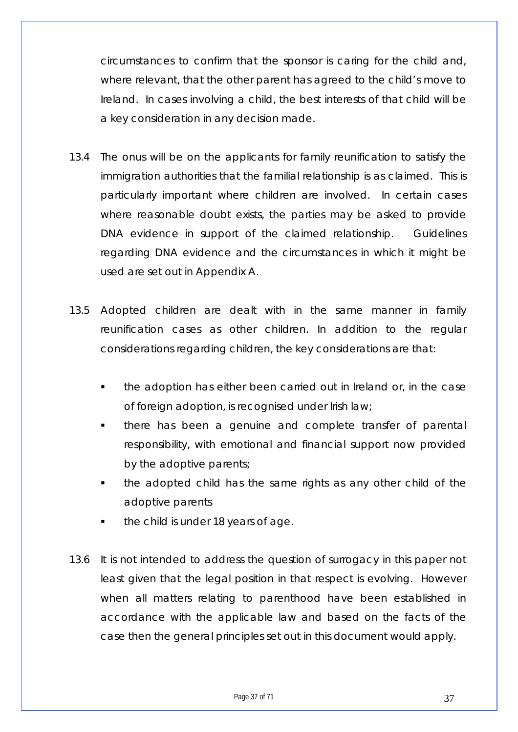circumstances to confirm that the sponsor is caring for the child and, where relevant, that the other parent has agreed to the child's move to Ireland. In cases involving a child, the best interests of that child will be a key consideration in any decision made.

- 13.4 The onus will be on the applicants for family reunification to satisfy the immigration authorities that the familial relationship is as claimed. This is particularly important where children are involved. In certain cases where reasonable doubt exists, the parties may be asked to provide DNA evidence in support of the claimed relationship. Guidelines regarding DNA evidence and the circumstances in which it might be used are set out in Appendix A.
- 13.5 Adopted children are dealt with in the same manner in family reunification cases as other children. In addition to the regular considerations regarding children, the key considerations are that:
	- the adoption has either been carried out in Ireland or, in the case of foreign adoption, is recognised under Irish law;
	- there has been a genuine and complete transfer of parental responsibility, with emotional and financial support now provided by the adoptive parents;
	- the adopted child has the same rights as any other child of the adoptive parents
	- the child is under 18 years of age.
- 13.6 It is not intended to address the question of surrogacy in this paper not least given that the legal position in that respect is evolving. However when all matters relating to parenthood have been established in accordance with the applicable law and based on the facts of the case then the general principles set out in this document would apply.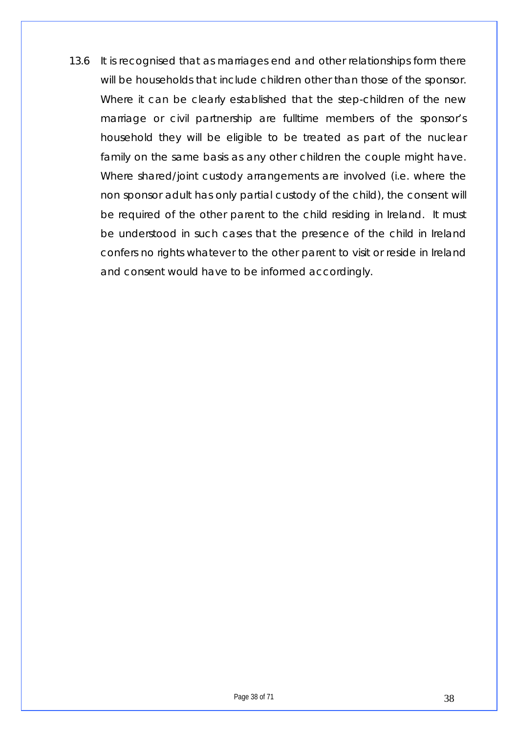13.6 It is recognised that as marriages end and other relationships form there will be households that include children other than those of the sponsor. Where it can be clearly established that the step-children of the new marriage or civil partnership are fulltime members of the sponsor's household they will be eligible to be treated as part of the nuclear family on the same basis as any other children the couple might have. Where shared/joint custody arrangements are involved (i.e. where the non sponsor adult has only partial custody of the child), the consent will be required of the other parent to the child residing in Ireland. It must be understood in such cases that the presence of the child in Ireland confers no rights whatever to the other parent to visit or reside in Ireland and consent would have to be informed accordingly.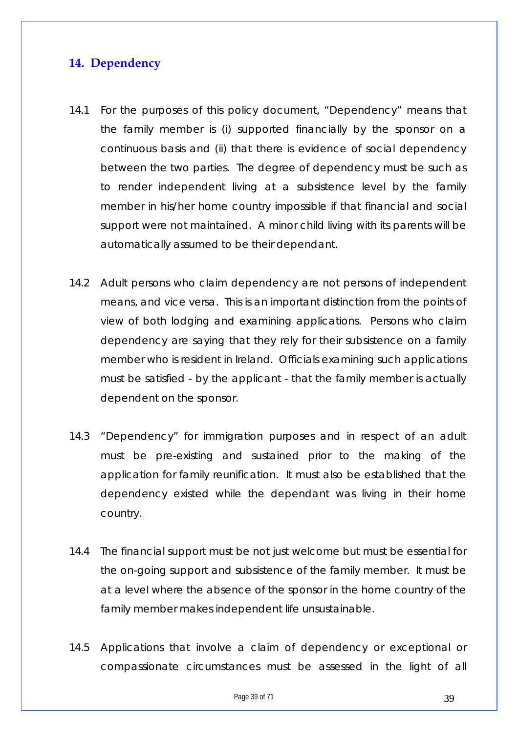## <span id="page-38-0"></span>**14. Dependency**

- 14.1 For the purposes of this policy document, "Dependency" means that the family member is (i) supported financially by the sponsor on a continuous basis and (ii) that there is evidence of social dependency between the two parties. The degree of dependency must be such as to render independent living at a subsistence level by the family member in his/her home country impossible if that financial and social support were not maintained. A minor child living with its parents will be automatically assumed to be their dependant.
- 14.2 Adult persons who claim dependency are not persons of independent means, and vice versa. This is an important distinction from the points of view of both lodging and examining applications. Persons who claim dependency are saying that they rely for their subsistence on a family member who is resident in Ireland. Officials examining such applications must be satisfied - by the applicant - that the family member is actually dependent on the sponsor.
- 14.3 "Dependency" for immigration purposes and in respect of an adult must be pre-existing and sustained prior to the making of the application for family reunification. It must also be established that the dependency existed while the dependant was living in their home country.
- 14.4 The financial support must be not just welcome but must be essential for the on-going support and subsistence of the family member. It must be at a level where the absence of the sponsor in the home country of the family member makes independent life unsustainable.
- 14.5 Applications that involve a claim of dependency or exceptional or compassionate circumstances must be assessed in the light of all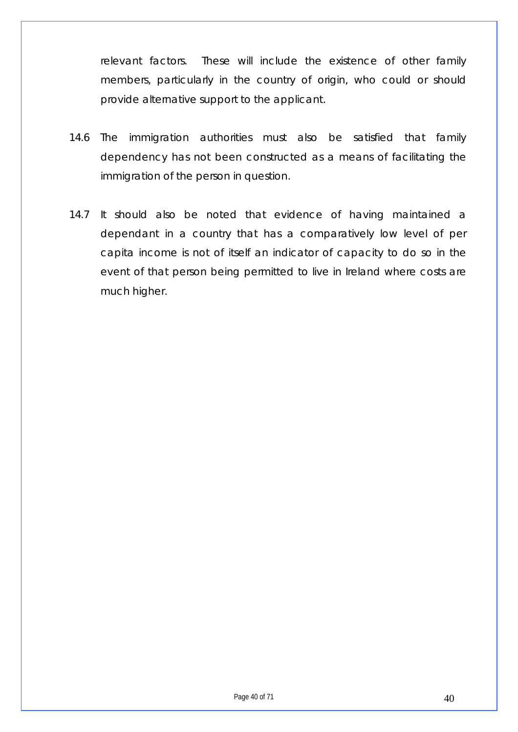relevant factors. These will include the existence of other family members, particularly in the country of origin, who could or should provide alternative support to the applicant.

- 14.6 The immigration authorities must also be satisfied that family dependency has not been constructed as a means of facilitating the immigration of the person in question.
- 14.7 It should also be noted that evidence of having maintained a dependant in a country that has a comparatively low level of per capita income is not of itself an indicator of capacity to do so in the event of that person being permitted to live in Ireland where costs are much higher.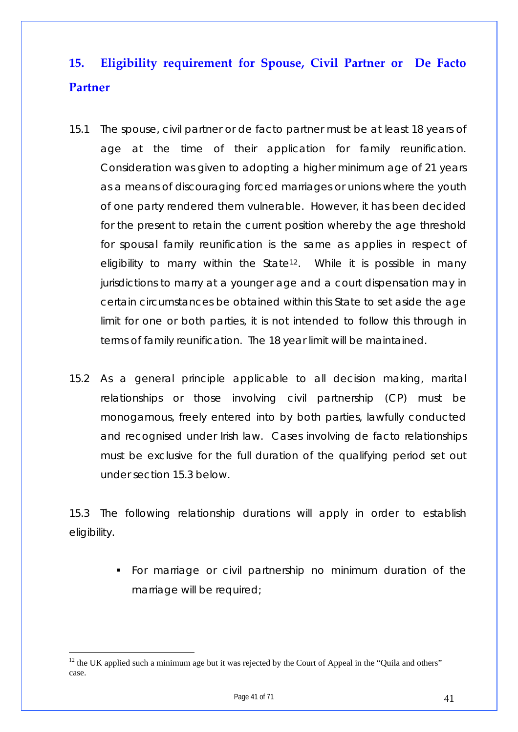## <span id="page-40-0"></span>**15. Eligibility requirement for Spouse, Civil Partner or De Facto Partner**

- 15.1 The spouse, civil partner or de facto partner must be at least 18 years of age at the time of their application for family reunification. Consideration was given to adopting a higher minimum age of 21 years as a means of discouraging forced marriages or unions where the youth of one party rendered them vulnerable. However, it has been decided for the present to retain the current position whereby the age threshold for spousal family reunification is the same as applies in respect of eligibility to marry within the State<sup>[12](#page-40-1)</sup>. While it is possible in many jurisdictions to marry at a younger age and a court dispensation may in certain circumstances be obtained within this State to set aside the age limit for one or both parties, it is not intended to follow this through in terms of family reunification. The 18 year limit will be maintained.
- 15.2 As a general principle applicable to all decision making, marital relationships or those involving civil partnership (CP) must be monogamous, freely entered into by both parties, lawfully conducted and recognised under Irish law. Cases involving de facto relationships must be exclusive for the full duration of the qualifying period set out under section 15.3 below.

15.3 The following relationship durations will apply in order to establish eligibility.

> For marriage or civil partnership no minimum duration of the marriage will be required;

<span id="page-40-1"></span><sup>&</sup>lt;sup>12</sup> the UK applied such a minimum age but it was rejected by the Court of Appeal in the "Quila and others" case.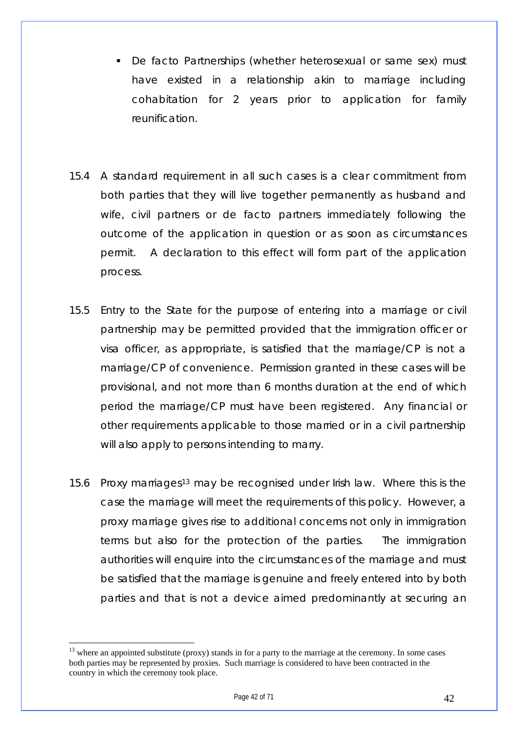- De facto Partnerships (whether heterosexual or same sex) must have existed in a relationship akin to marriage including cohabitation for 2 years prior to application for family reunification.
- 15.4 A standard requirement in all such cases is a clear commitment from both parties that they will live together permanently as husband and wife, civil partners or de facto partners immediately following the outcome of the application in question or as soon as circumstances permit. A declaration to this effect will form part of the application process.
- 15.5 Entry to the State for the purpose of entering into a marriage or civil partnership may be permitted provided that the immigration officer or visa officer, as appropriate, is satisfied that the marriage/CP is not a marriage/CP of convenience. Permission granted in these cases will be provisional, and not more than 6 months duration at the end of which period the marriage/CP must have been registered. Any financial or other requirements applicable to those married or in a civil partnership will also apply to persons intending to marry.
- 15.6 Proxy marriages[13](#page-41-0) may be recognised under Irish law. Where this is the case the marriage will meet the requirements of this policy. However, a proxy marriage gives rise to additional concerns not only in immigration terms but also for the protection of the parties. The immigration authorities will enquire into the circumstances of the marriage and must be satisfied that the marriage is genuine and freely entered into by both parties and that is not a device aimed predominantly at securing an

<span id="page-41-0"></span><sup>&</sup>lt;sup>13</sup> where an appointed substitute (proxy) stands in for a party to the marriage at the ceremony. In some cases both parties may be represented by proxies. Such marriage is considered to have been contracted in the country in which the ceremony took place.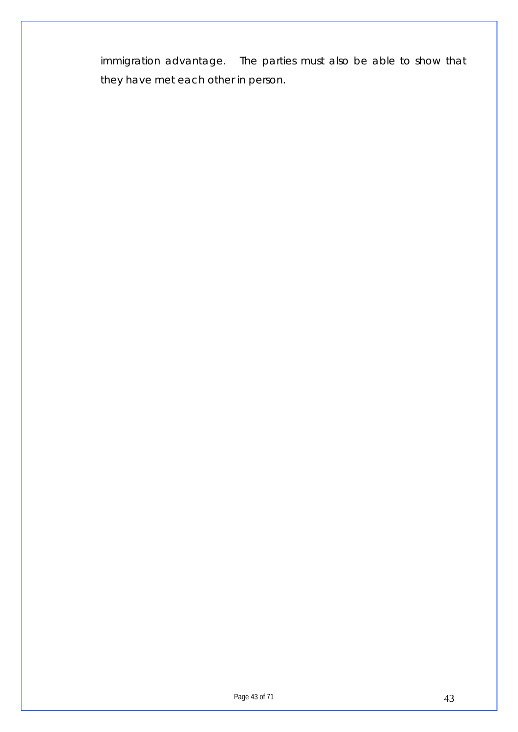immigration advantage. The parties must also be able to show that they have met each other in person.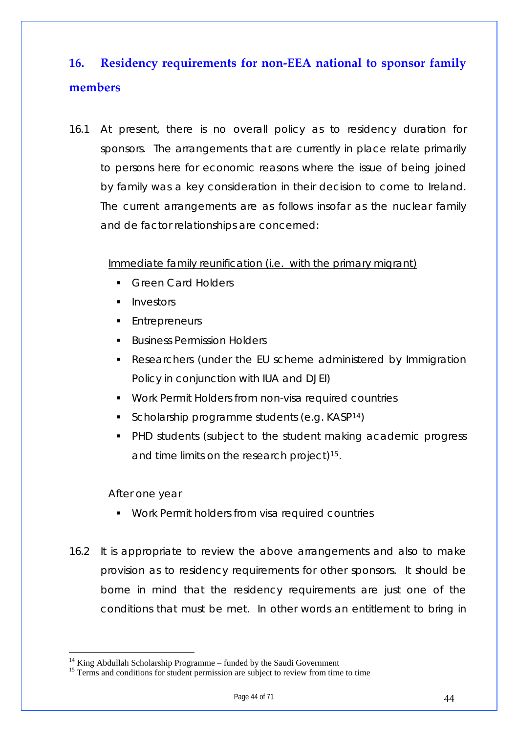## <span id="page-43-0"></span>**16. Residency requirements for non‐EEA national to sponsor family members**

16.1 At present, there is no overall policy as to residency duration for sponsors. The arrangements that are currently in place relate primarily to persons here for economic reasons where the issue of being joined by family was a key consideration in their decision to come to Ireland. The current arrangements are as follows insofar as the nuclear family and de factor relationships are concerned:

#### Immediate family reunification (i.e. with the primary migrant)

- Green Card Holders
- Investors
- **Entrepreneurs**
- **Business Permission Holders**
- Researchers (under the EU scheme administered by Immigration Policy in conjunction with IUA and DJEI)
- Work Permit Holders from non-visa required countries
- Scholarship programme students (e.g.  $KASP^{14}$  $KASP^{14}$  $KASP^{14}$ )
- **PHD students (subject to the student making academic progress)** and time limits on the research project)<sup>[15](#page-43-2)</sup>.

#### After one year

- **Work Permit holders from visa required countries**
- 16.2 It is appropriate to review the above arrangements and also to make provision as to residency requirements for other sponsors. It should be borne in mind that the residency requirements are just one of the conditions that must be met. In other words an entitlement to bring in

<span id="page-43-1"></span><sup>&</sup>lt;sup>14</sup> King Abdullah Scholarship Programme – funded by the Saudi Government

<span id="page-43-2"></span><sup>&</sup>lt;sup>15</sup> Terms and conditions for student permission are subject to review from time to time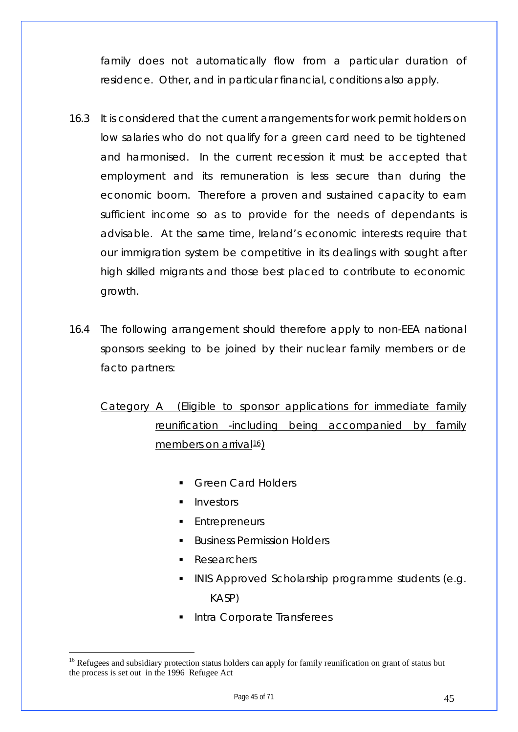family does not automatically flow from a particular duration of residence. Other, and in particular financial, conditions also apply.

- 16.3 It is considered that the current arrangements for work permit holders on low salaries who do not qualify for a green card need to be tightened and harmonised. In the current recession it must be accepted that employment and its remuneration is less secure than during the economic boom. Therefore a proven and sustained capacity to earn sufficient income so as to provide for the needs of dependants is advisable. At the same time, Ireland's economic interests require that our immigration system be competitive in its dealings with sought after high skilled migrants and those best placed to contribute to economic growth.
- 16.4 The following arrangement should therefore apply to non-EEA national sponsors seeking to be joined by their nuclear family members or de facto partners:

Category A (Eligible to sponsor applications for immediate family reunification -including being accompanied by family members on arrival $16$ )

- Green Card Holders
- Investors
- Entrepreneurs
- Business Permission Holders
- Researchers

- INIS Approved Scholarship programme students (e.g. KASP)
- Intra Corporate Transferees

<span id="page-44-0"></span><sup>&</sup>lt;sup>16</sup> Refugees and subsidiary protection status holders can apply for family reunification on grant of status but the process is set out in the 1996 Refugee Act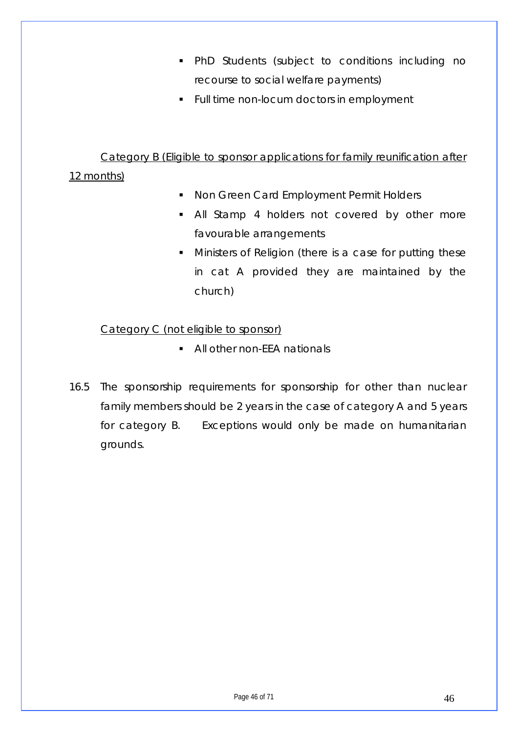- PhD Students (subject to conditions including no recourse to social welfare payments)
- **Full time non-locum doctors in employment**

#### Category B (Eligible to sponsor applications for family reunification after

#### 12 months)

- **Non Green Card Employment Permit Holders**
- **All Stamp 4 holders not covered by other more** favourable arrangements
- **Ministers of Religion (there is a case for putting these** in cat A provided they are maintained by the church)

#### Category C (not eligible to sponsor)

- All other non-FFA nationals
- 16.5 The sponsorship requirements for sponsorship for other than nuclear family members should be 2 years in the case of category A and 5 years for category B. Exceptions would only be made on humanitarian grounds.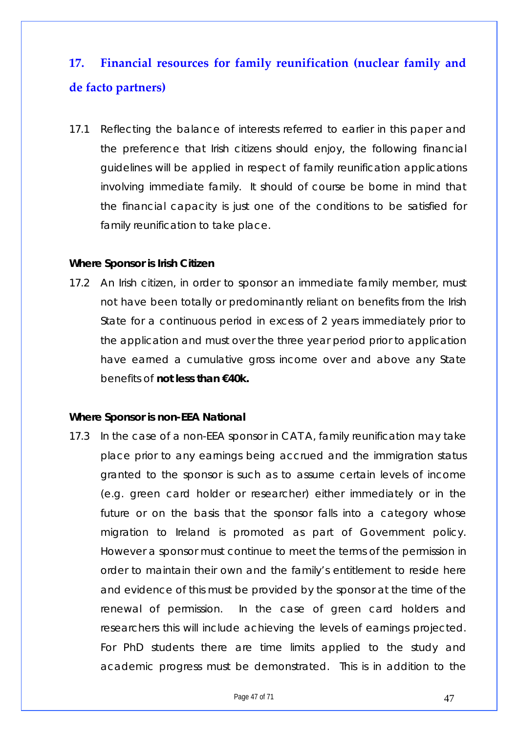## <span id="page-46-0"></span>**17. Financial resources for family reunification (nuclear family and de facto partners)**

17.1 Reflecting the balance of interests referred to earlier in this paper and the preference that Irish citizens should enjoy, the following financial guidelines will be applied in respect of family reunification applications involving immediate family. It should of course be borne in mind that the financial capacity is just one of the conditions to be satisfied for family reunification to take place.

#### **Where Sponsor is Irish Citizen**

17.2 An Irish citizen, in order to sponsor an immediate family member, must not have been totally or predominantly reliant on benefits from the Irish State for a continuous period in excess of 2 years immediately prior to the application and must over the three year period prior to application have earned a cumulative gross income over and above any State benefits of **not less than €40k.** 

#### **Where Sponsor is non-EEA National**

17.3 In the case of a non-EEA sponsor in CAT A, family reunification may take place prior to any earnings being accrued and the immigration status granted to the sponsor is such as to assume certain levels of income (e.g. green card holder or researcher) either immediately or in the future or on the basis that the sponsor falls into a category whose migration to Ireland is promoted as part of Government policy. However a sponsor must continue to meet the terms of the permission in order to maintain their own and the family's entitlement to reside here and evidence of this must be provided by the sponsor at the time of the renewal of permission. In the case of green card holders and researchers this will include achieving the levels of earnings projected. For PhD students there are time limits applied to the study and academic progress must be demonstrated. This is in addition to the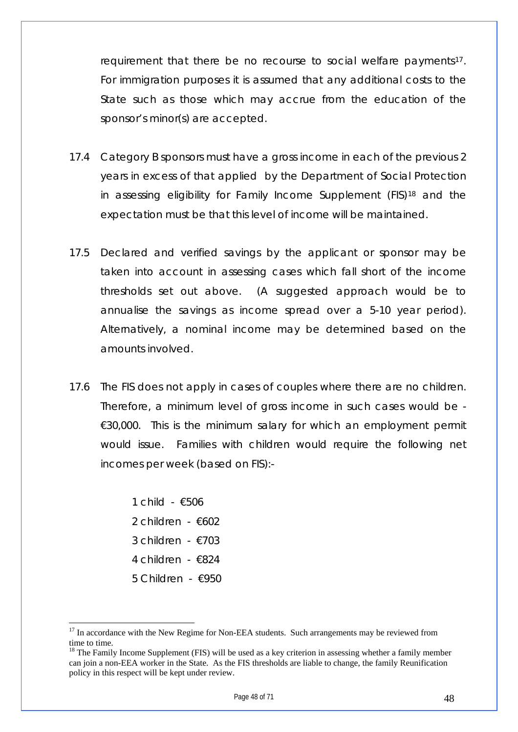requirement that there be no recourse to social welfare payments<sup>[17](#page-47-0)</sup>. For immigration purposes it is assumed that any additional costs to the State such as those which may accrue from the education of the sponsor's minor(s) are accepted.

- 17.4 Category B sponsors must have a gross income in each of the previous 2 years in excess of that applied by the Department of Social Protection in assessing eligibility for Family Income Supplement (FIS[\)18](#page-47-1) and the expectation must be that this level of income will be maintained.
- 17.5 Declared and verified savings by the applicant or sponsor may be taken into account in assessing cases which fall short of the income thresholds set out above. (A suggested approach would be to annualise the savings as income spread over a 5-10 year period). Alternatively, a nominal income may be determined based on the amounts involved.
- 17.6 The FIS does not apply in cases of couples where there are no children. Therefore, a minimum level of gross income in such cases would be -  $€30,000$ . This is the minimum salary for which an employment permit would issue. Families with children would require the following net incomes per week (based on FIS):-

1 child - €506 2 children - €602 3 children - €703 4 children - €824 5 Children - €950

<span id="page-47-0"></span><sup>&</sup>lt;sup>17</sup> In accordance with the New Regime for Non-EEA students. Such arrangements may be reviewed from time to time.

<span id="page-47-1"></span><sup>&</sup>lt;sup>18</sup> The Family Income Supplement (FIS) will be used as a key criterion in assessing whether a family member can join a non-EEA worker in the State. As the FIS thresholds are liable to change, the family Reunification policy in this respect will be kept under review.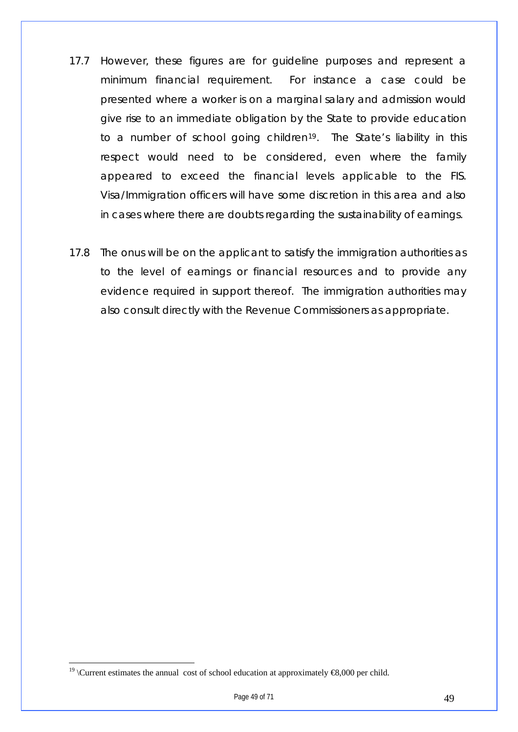- 17.7 However, these figures are for guideline purposes and represent a minimum financial requirement. For instance a case could be presented where a worker is on a marginal salary and admission would give rise to an immediate obligation by the State to provide education to a number of school going children<sup>[19](#page-48-0)</sup>. The State's liability in this respect would need to be considered, even where the family appeared to exceed the financial levels applicable to the FIS. Visa/Immigration officers will have some discretion in this area and also in cases where there are doubts regarding the sustainability of earnings.
- 17.8 The onus will be on the applicant to satisfy the immigration authorities as to the level of earnings or financial resources and to provide any evidence required in support thereof. The immigration authorities may also consult directly with the Revenue Commissioners as appropriate.

<span id="page-48-0"></span><sup>&</sup>lt;sup>19</sup> \Current estimates the annual cost of school education at approximately  $\bigoplus$ ,000 per child.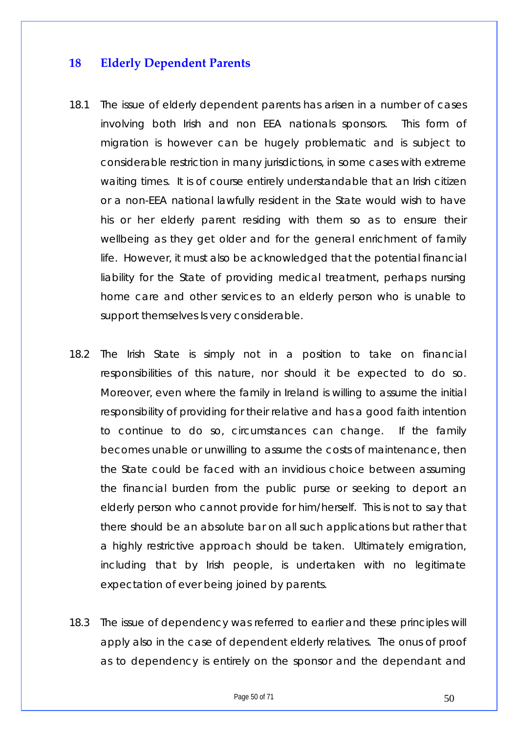#### <span id="page-49-0"></span>**18 Elderly Dependent Parents**

- 18.1 The issue of elderly dependent parents has arisen in a number of cases involving both Irish and non EEA nationals sponsors. This form of migration is however can be hugely problematic and is subject to considerable restriction in many jurisdictions, in some cases with extreme waiting times. It is of course entirely understandable that an Irish citizen or a non-EEA national lawfully resident in the State would wish to have his or her elderly parent residing with them so as to ensure their wellbeing as they get older and for the general enrichment of family life. However, it must also be acknowledged that the potential financial liability for the State of providing medical treatment, perhaps nursing home care and other services to an elderly person who is unable to support themselves Is very considerable.
- 18.2 The Irish State is simply not in a position to take on financial responsibilities of this nature, nor should it be expected to do so. Moreover, even where the family in Ireland is willing to assume the initial responsibility of providing for their relative and has a good faith intention to continue to do so, circumstances can change. If the family becomes unable or unwilling to assume the costs of maintenance, then the State could be faced with an invidious choice between assuming the financial burden from the public purse or seeking to deport an elderly person who cannot provide for him/herself. This is not to say that there should be an absolute bar on all such applications but rather that a highly restrictive approach should be taken. Ultimately emigration, including that by Irish people, is undertaken with no legitimate expectation of ever being joined by parents.
- 18.3 The issue of dependency was referred to earlier and these principles will apply also in the case of dependent elderly relatives. The onus of proof as to dependency is entirely on the sponsor and the dependant and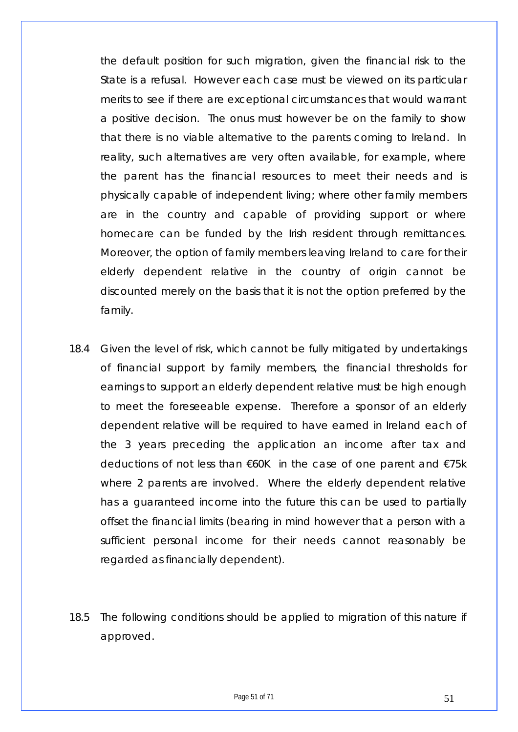the default position for such migration, given the financial risk to the State is a refusal. However each case must be viewed on its particular merits to see if there are exceptional circumstances that would warrant a positive decision. The onus must however be on the family to show that there is no viable alternative to the parents coming to Ireland. In reality, such alternatives are very often available, for example, where the parent has the financial resources to meet their needs and is physically capable of independent living; where other family members are in the country and capable of providing support or where homecare can be funded by the Irish resident through remittances. Moreover, the option of family members leaving Ireland to care for their elderly dependent relative in the country of origin cannot be discounted merely on the basis that it is not the option preferred by the family.

- 18.4 Given the level of risk, which cannot be fully mitigated by undertakings of financial support by family members, the financial thresholds for earnings to support an elderly dependent relative must be high enough to meet the foreseeable expense. Therefore a sponsor of an elderly dependent relative will be required to have earned in Ireland each of the 3 years preceding the application an income after tax and deductions of not less than €60K in the case of one parent and €75k where 2 parents are involved. Where the elderly dependent relative has a guaranteed income into the future this can be used to partially offset the financial limits (bearing in mind however that a person with a sufficient personal income for their needs cannot reasonably be regarded as financially dependent).
- 18.5 The following conditions should be applied to migration of this nature if approved.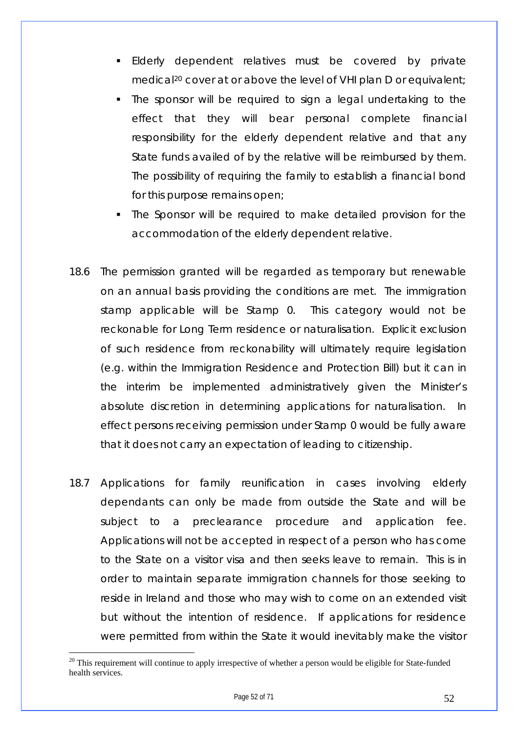- Elderly dependent relatives must be covered by private medical<sup>[20](#page-51-0)</sup> cover at or above the level of VHI plan D or equivalent;
- The sponsor will be required to sign a legal undertaking to the effect that they will bear personal complete financial responsibility for the elderly dependent relative and that any State funds availed of by the relative will be reimbursed by them. The possibility of requiring the family to establish a financial bond for this purpose remains open;
- The Sponsor will be required to make detailed provision for the accommodation of the elderly dependent relative.
- 18.6 The permission granted will be regarded as temporary but renewable on an annual basis providing the conditions are met. The immigration stamp applicable will be Stamp 0. This category would not be reckonable for Long Term residence or naturalisation. Explicit exclusion of such residence from reckonability will ultimately require legislation (e.g. within the Immigration Residence and Protection Bill) but it can in the interim be implemented administratively given the Minister's absolute discretion in determining applications for naturalisation. In effect persons receiving permission under Stamp 0 would be fully aware that it does not carry an expectation of leading to citizenship.
- 18.7 Applications for family reunification in cases involving elderly dependants can only be made from outside the State and will be subject to a preclearance procedure and application fee. Applications will not be accepted in respect of a person who has come to the State on a visitor visa and then seeks leave to remain. This is in order to maintain separate immigration channels for those seeking to reside in Ireland and those who may wish to come on an extended visit but without the intention of residence. If applications for residence were permitted from within the State it would inevitably make the visitor

<span id="page-51-0"></span> $20$  This requirement will continue to apply irrespective of whether a person would be eligible for State-funded health services.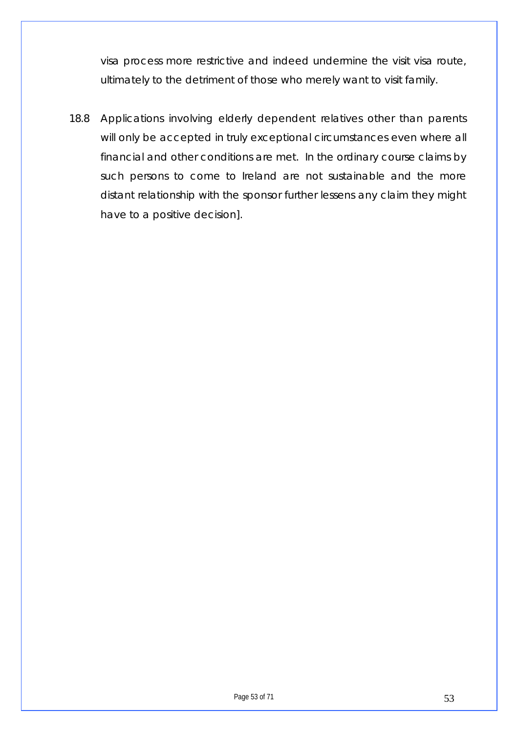visa process more restrictive and indeed undermine the visit visa route, ultimately to the detriment of those who merely want to visit family.

18.8 Applications involving elderly dependent relatives other than parents will only be accepted in truly exceptional circumstances even where all financial and other conditions are met. In the ordinary course claims by such persons to come to Ireland are not sustainable and the more distant relationship with the sponsor further lessens any claim they might have to a positive decision].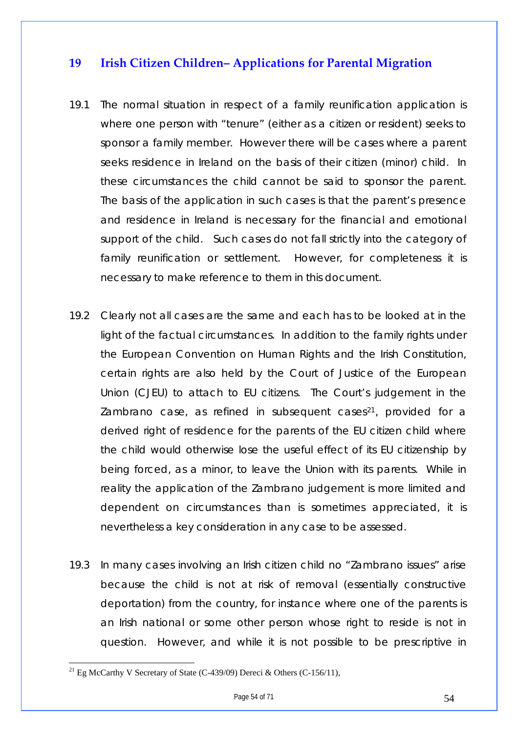## <span id="page-53-0"></span>**19 Irish Citizen Children– Applications for Parental Migration**

- 19.1 The normal situation in respect of a family reunification application is where one person with "tenure" (either as a citizen or resident) seeks to sponsor a family member. However there will be cases where a parent seeks residence in Ireland on the basis of their citizen (minor) child. In these circumstances the child cannot be said to sponsor the parent. The basis of the application in such cases is that the parent's presence and residence in Ireland is necessary for the financial and emotional support of the child. Such cases do not fall strictly into the category of family reunification or settlement. However, for completeness it is necessary to make reference to them in this document.
- 19.2 Clearly not all cases are the same and each has to be looked at in the light of the factual circumstances. In addition to the family rights under the European Convention on Human Rights and the Irish Constitution, certain rights are also held by the Court of Justice of the European Union (CJEU) to attach to EU citizens. The Court's judgement in the Zambrano case, as refined in subsequent cases<sup>[21](#page-53-1)</sup>, provided for a derived right of residence for the parents of the EU citizen child where the child would otherwise lose the useful effect of its EU citizenship by being forced, as a minor, to leave the Union with its parents. While in reality the application of the Zambrano judgement is more limited and dependent on circumstances than is sometimes appreciated, it is nevertheless a key consideration in any case to be assessed.
- 19.3 In many cases involving an Irish citizen child no "Zambrano issues" arise because the child is not at risk of removal (essentially constructive deportation) from the country, for instance where one of the parents is an Irish national or some other person whose right to reside is not in question. However, and while it is not possible to be prescriptive in

<span id="page-53-1"></span><sup>&</sup>lt;sup>21</sup> Eg McCarthy V Secretary of State (C-439/09) Dereci & Others (C-156/11),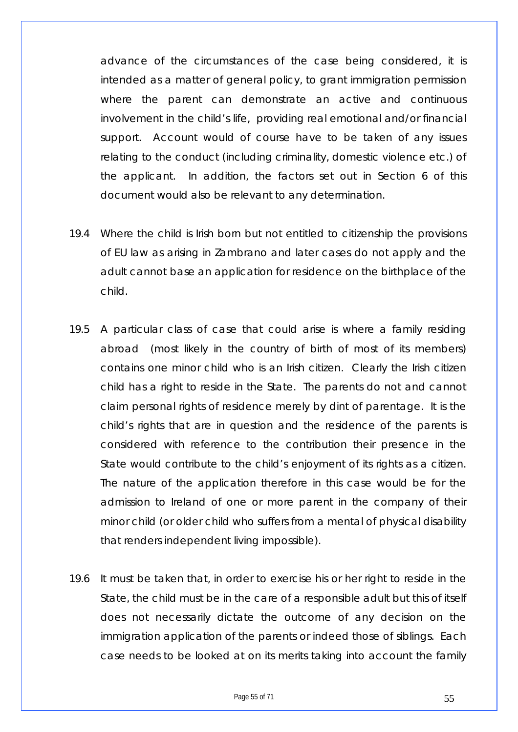advance of the circumstances of the case being considered, it is intended as a matter of general policy, to grant immigration permission where the parent can demonstrate an active and continuous involvement in the child's life, providing real emotional and/or financial support. Account would of course have to be taken of any issues relating to the conduct (including criminality, domestic violence etc.) of the applicant. In addition, the factors set out in Section 6 of this document would also be relevant to any determination.

- 19.4 Where the child is Irish born but not entitled to citizenship the provisions of EU law as arising in Zambrano and later cases do not apply and the adult cannot base an application for residence on the birthplace of the child.
- 19.5 A particular class of case that could arise is where a family residing abroad (most likely in the country of birth of most of its members) contains one minor child who is an Irish citizen. Clearly the Irish citizen child has a right to reside in the State. The parents do not and cannot claim personal rights of residence merely by dint of parentage. It is the child's rights that are in question and the residence of the parents is considered with reference to the contribution their presence in the State would contribute to the child's enjoyment of its rights as a citizen. The nature of the application therefore in this case would be for the admission to Ireland of one or more parent in the company of their minor child (or older child who suffers from a mental of physical disability that renders independent living impossible).
- 19.6 It must be taken that, in order to exercise his or her right to reside in the State, the child must be in the care of a responsible adult but this of itself does not necessarily dictate the outcome of any decision on the immigration application of the parents or indeed those of siblings. Each case needs to be looked at on its merits taking into account the family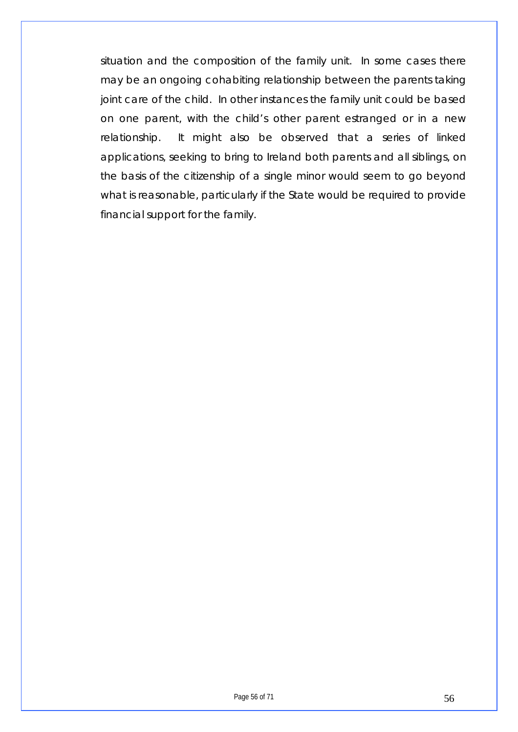situation and the composition of the family unit. In some cases there may be an ongoing cohabiting relationship between the parents taking joint care of the child. In other instances the family unit could be based on one parent, with the child's other parent estranged or in a new relationship. It might also be observed that a series of linked applications, seeking to bring to Ireland both parents and all siblings, on the basis of the citizenship of a single minor would seem to go beyond what is reasonable, particularly if the State would be required to provide financial support for the family.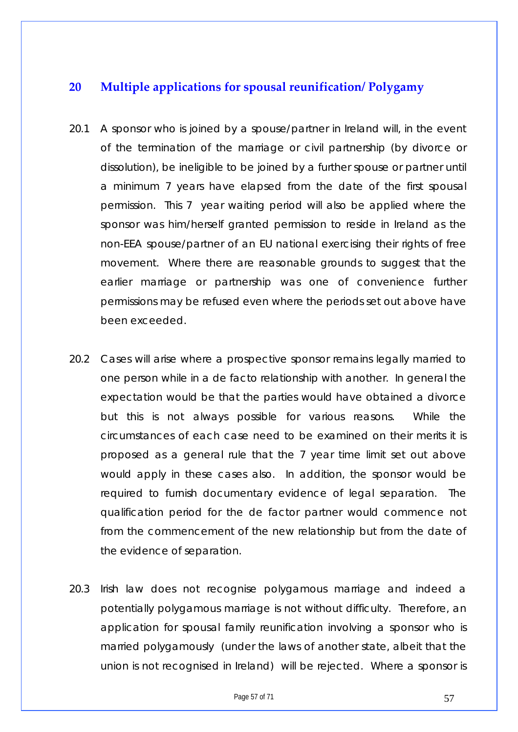## <span id="page-56-0"></span>**20 Multiple applications for spousal reunification/ Polygamy**

- 20.1 A sponsor who is joined by a spouse/partner in Ireland will, in the event of the termination of the marriage or civil partnership (by divorce or dissolution), be ineligible to be joined by a further spouse or partner until a minimum 7 years have elapsed from the date of the first spousal permission. This 7 year waiting period will also be applied where the sponsor was him/herself granted permission to reside in Ireland as the non-EEA spouse/partner of an EU national exercising their rights of free movement. Where there are reasonable grounds to suggest that the earlier marriage or partnership was one of convenience further permissions may be refused even where the periods set out above have been exceeded.
- 20.2 Cases will arise where a prospective sponsor remains legally married to one person while in a de facto relationship with another. In general the expectation would be that the parties would have obtained a divorce but this is not always possible for various reasons. While the circumstances of each case need to be examined on their merits it is proposed as a general rule that the 7 year time limit set out above would apply in these cases also. In addition, the sponsor would be required to furnish documentary evidence of legal separation. The qualification period for the de factor partner would commence not from the commencement of the new relationship but from the date of the evidence of separation.
- 20.3 Irish law does not recognise polygamous marriage and indeed a potentially polygamous marriage is not without difficulty. Therefore, an application for spousal family reunification involving a sponsor who is married polygamously (under the laws of another state, albeit that the union is not recognised in Ireland) will be rejected. Where a sponsor is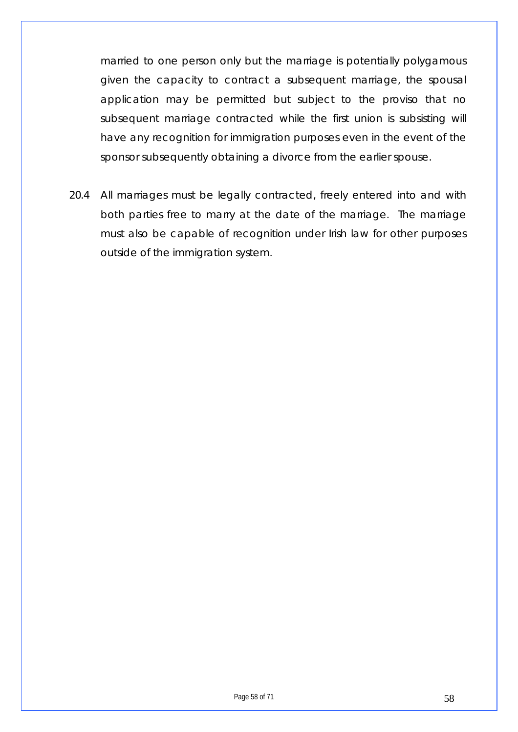married to one person only but the marriage is potentially polygamous given the capacity to contract a subsequent marriage, the spousal application may be permitted but subject to the proviso that no subsequent marriage contracted while the first union is subsisting will have any recognition for immigration purposes even in the event of the sponsor subsequently obtaining a divorce from the earlier spouse.

20.4 All marriages must be legally contracted, freely entered into and with both parties free to marry at the date of the marriage. The marriage must also be capable of recognition under Irish law for other purposes outside of the immigration system.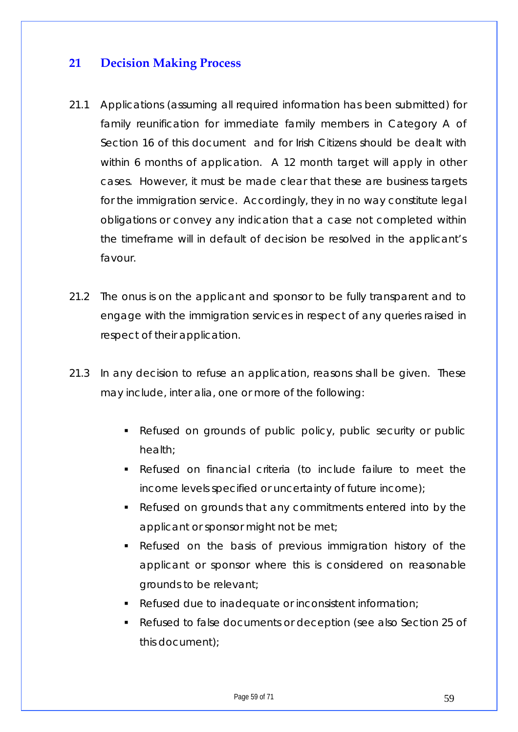## <span id="page-58-0"></span>**21 Decision Making Process**

- 21.1 Applications (assuming all required information has been submitted) for family reunification for immediate family members in Category A of Section 16 of this document and for Irish Citizens should be dealt with within 6 months of application. A 12 month target will apply in other cases. However, it must be made clear that these are business targets for the immigration service. Accordingly, they in no way constitute legal obligations or convey any indication that a case not completed within the timeframe will in default of decision be resolved in the applicant's favour.
- 21.2 The onus is on the applicant and sponsor to be fully transparent and to engage with the immigration services in respect of any queries raised in respect of their application.
- 21.3 In any decision to refuse an application, reasons shall be given. These may include, inter alia, one or more of the following:
	- Refused on grounds of public policy, public security or public health;
	- Refused on financial criteria (to include failure to meet the income levels specified or uncertainty of future income);
	- Refused on grounds that any commitments entered into by the applicant or sponsor might not be met;
	- Refused on the basis of previous immigration history of the applicant or sponsor where this is considered on reasonable grounds to be relevant;
	- Refused due to inadequate or inconsistent information;
	- Refused to false documents or deception (see also Section 25 of this document);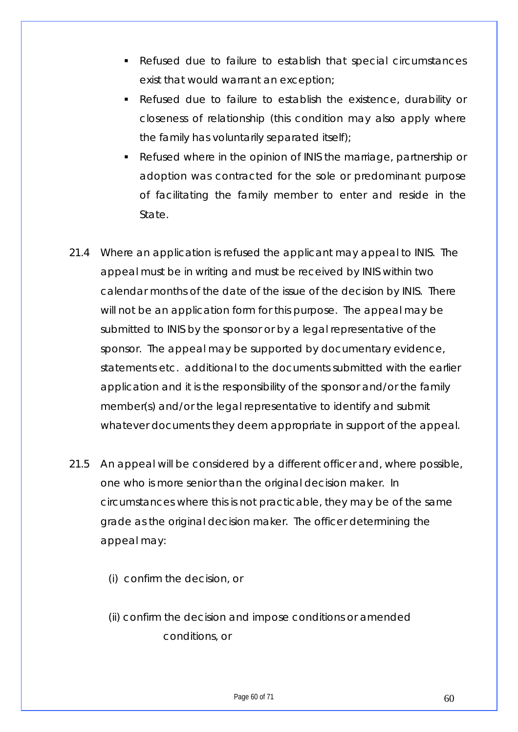- Refused due to failure to establish that special circumstances exist that would warrant an exception;
- Refused due to failure to establish the existence, durability or closeness of relationship (this condition may also apply where the family has voluntarily separated itself);
- Refused where in the opinion of INIS the marriage, partnership or adoption was contracted for the sole or predominant purpose of facilitating the family member to enter and reside in the State.
- 21.4 Where an application is refused the applicant may appeal to INIS. The appeal must be in writing and must be received by INIS within two calendar months of the date of the issue of the decision by INIS. There will not be an application form for this purpose. The appeal may be submitted to INIS by the sponsor or by a legal representative of the sponsor. The appeal may be supported by documentary evidence, statements etc. additional to the documents submitted with the earlier application and it is the responsibility of the sponsor and/or the family member(s) and/or the legal representative to identify and submit whatever documents they deem appropriate in support of the appeal.
- 21.5 An appeal will be considered by a different officer and, where possible, one who is more senior than the original decision maker. In circumstances where this is not practicable, they may be of the same grade as the original decision maker. The officer determining the appeal may:
	- (i) confirm the decision, or
	- (ii) confirm the decision and impose conditions or amended conditions, or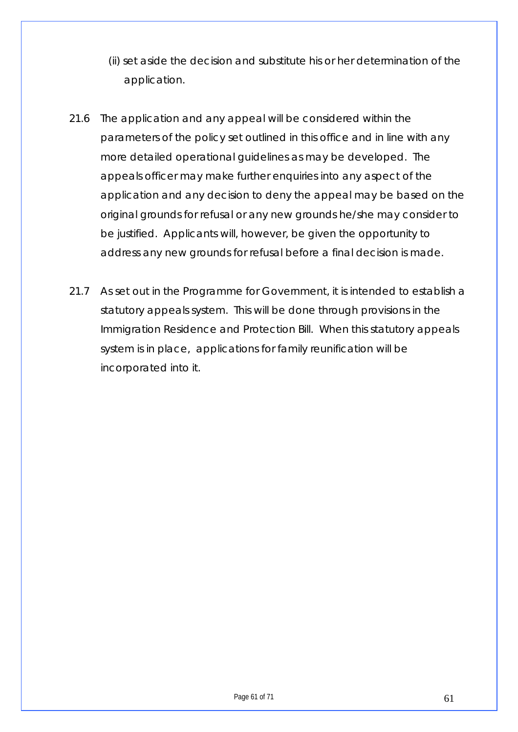- (ii) set aside the decision and substitute his or her determination of the application.
- 21.6 The application and any appeal will be considered within the parameters of the policy set outlined in this office and in line with any more detailed operational guidelines as may be developed. The appeals officer may make further enquiries into any aspect of the application and any decision to deny the appeal may be based on the original grounds for refusal or any new grounds he/she may consider to be justified. Applicants will, however, be given the opportunity to address any new grounds for refusal before a final decision is made.
- 21.7 As set out in the Programme for Government, it is intended to establish a statutory appeals system. This will be done through provisions in the Immigration Residence and Protection Bill. When this statutory appeals system is in place, applications for family reunification will be incorporated into it.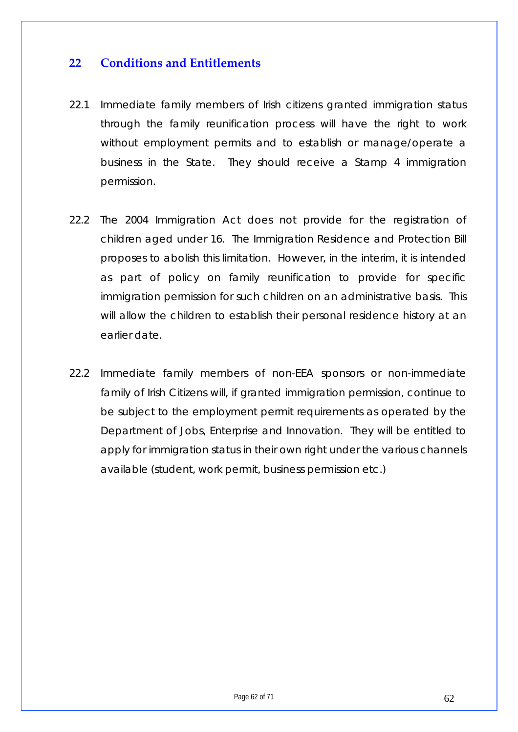## <span id="page-61-0"></span>**22 Conditions and Entitlements**

- 22.1 Immediate family members of Irish citizens granted immigration status through the family reunification process will have the right to work without employment permits and to establish or manage/operate a business in the State. They should receive a Stamp 4 immigration permission.
- 22.2 The 2004 Immigration Act does not provide for the registration of children aged under 16. The Immigration Residence and Protection Bill proposes to abolish this limitation. However, in the interim, it is intended as part of policy on family reunification to provide for specific immigration permission for such children on an administrative basis. This will allow the children to establish their personal residence history at an earlier date.
- 22.2 Immediate family members of non-EEA sponsors or non-immediate family of Irish Citizens will, if granted immigration permission, continue to be subject to the employment permit requirements as operated by the Department of Jobs, Enterprise and Innovation. They will be entitled to apply for immigration status in their own right under the various channels available (student, work permit, business permission etc.)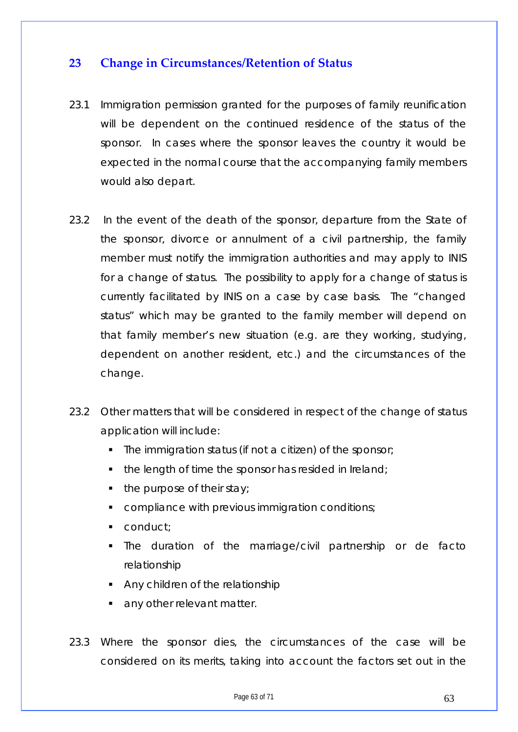## <span id="page-62-0"></span>**23 Change in Circumstances/Retention of Status**

- 23.1 Immigration permission granted for the purposes of family reunification will be dependent on the continued residence of the status of the sponsor. In cases where the sponsor leaves the country it would be expected in the normal course that the accompanying family members would also depart.
- 23.2 In the event of the death of the sponsor, departure from the State of the sponsor, divorce or annulment of a civil partnership, the family member must notify the immigration authorities and may apply to INIS for a change of status. The possibility to apply for a change of status is currently facilitated by INIS on a case by case basis. The "changed status" which may be granted to the family member will depend on that family member's new situation (e.g. are they working, studying, dependent on another resident, etc.) and the circumstances of the change.
- 23.2 Other matters that will be considered in respect of the change of status application will include:
	- The immigration status (if not a citizen) of the sponsor;
	- $\blacksquare$  the length of time the sponsor has resided in Ireland;
	- $\blacksquare$  the purpose of their stay;
	- compliance with previous immigration conditions;
	- conduct;
	- The duration of the marriage/civil partnership or de facto relationship
	- Any children of the relationship
	- **any other relevant matter.**
- 23.3 Where the sponsor dies, the circumstances of the case will be considered on its merits, taking into account the factors set out in the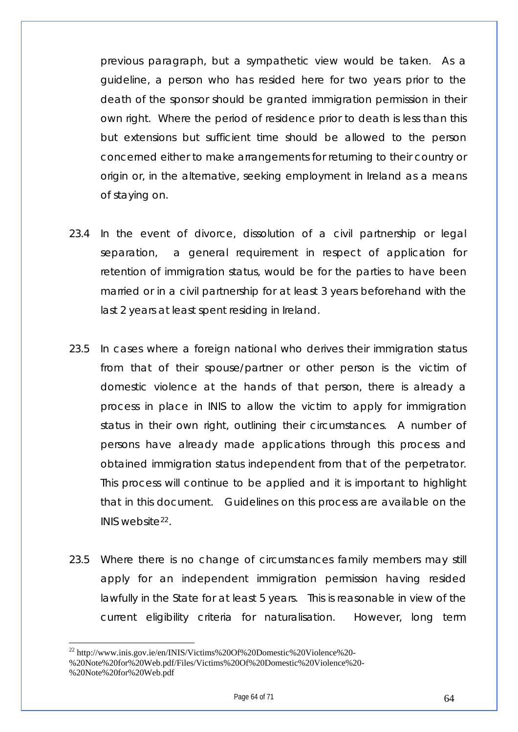previous paragraph, but a sympathetic view would be taken. As a guideline, a person who has resided here for two years prior to the death of the sponsor should be granted immigration permission in their own right. Where the period of residence prior to death is less than this but extensions but sufficient time should be allowed to the person concerned either to make arrangements for returning to their country or origin or, in the alternative, seeking employment in Ireland as a means of staying on.

- 23.4 In the event of divorce, dissolution of a civil partnership or legal separation, a general requirement in respect of application for retention of immigration status, would be for the parties to have been married or in a civil partnership for at least 3 years beforehand with the last 2 years at least spent residing in Ireland.
- 23.5 In cases where a foreign national who derives their immigration status from that of their spouse/partner or other person is the victim of domestic violence at the hands of that person, there is already a process in place in INIS to allow the victim to apply for immigration status in their own right, outlining their circumstances. A number of persons have already made applications through this process and obtained immigration status independent from that of the perpetrator. This process will continue to be applied and it is important to highlight that in this document. Guidelines on this process are available on the INIS website[22](#page-63-0).
- 23.5 Where there is no change of circumstances family members may still apply for an independent immigration permission having resided lawfully in the State for at least 5 years. This is reasonable in view of the current eligibility criteria for naturalisation. However, long term

<sup>22</sup> http://www.inis.gov.ie/en/INIS/Victims%20Of%20Domestic%20Violence%20-

<span id="page-63-0"></span><sup>%20</sup>Note%20for%20Web.pdf/Files/Victims%20Of%20Domestic%20Violence%20- %20Note%20for%20Web.pdf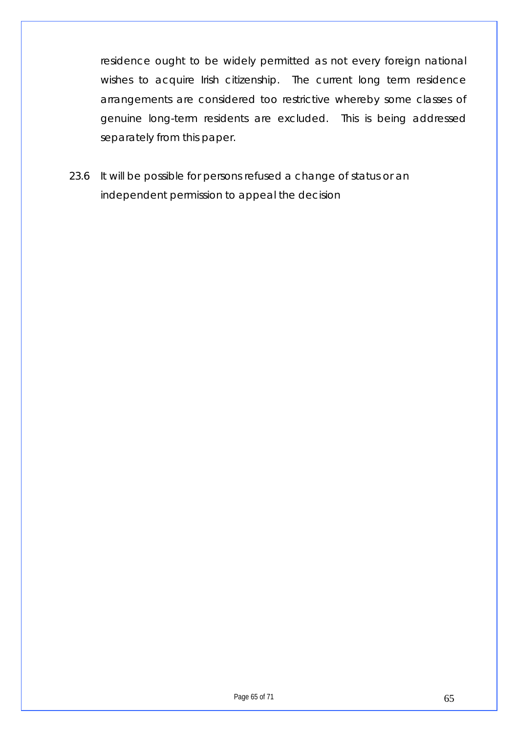residence ought to be widely permitted as not every foreign national wishes to acquire Irish citizenship. The current long term residence arrangements are considered too restrictive whereby some classes of genuine long-term residents are excluded. This is being addressed separately from this paper.

23.6 It will be possible for persons refused a change of status or an independent permission to appeal the decision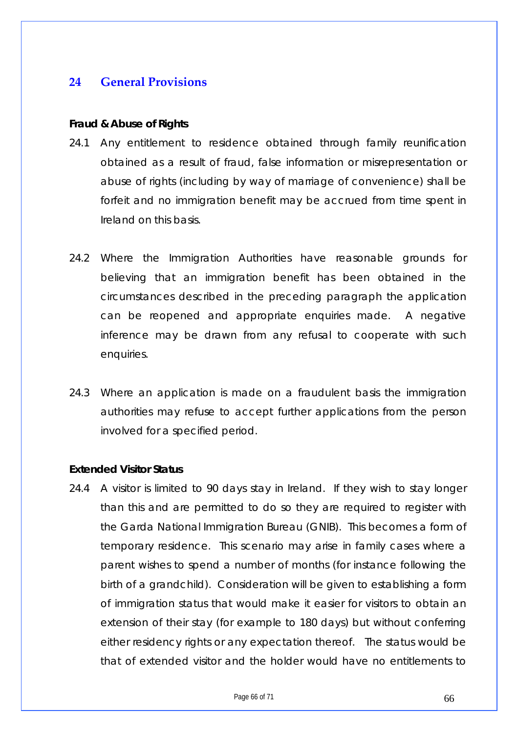## <span id="page-65-0"></span>**24 General Provisions**

#### **Fraud & Abuse of Rights**

- 24.1 Any entitlement to residence obtained through family reunification obtained as a result of fraud, false information or misrepresentation or abuse of rights (including by way of marriage of convenience) shall be forfeit and no immigration benefit may be accrued from time spent in Ireland on this basis.
- 24.2 Where the Immigration Authorities have reasonable grounds for believing that an immigration benefit has been obtained in the circumstances described in the preceding paragraph the application can be reopened and appropriate enquiries made. A negative inference may be drawn from any refusal to cooperate with such enquiries.
- 24.3 Where an application is made on a fraudulent basis the immigration authorities may refuse to accept further applications from the person involved for a specified period.

#### **Extended Visitor Status**

24.4 A visitor is limited to 90 days stay in Ireland. If they wish to stay longer than this and are permitted to do so they are required to register with the Garda National Immigration Bureau (GNIB). This becomes a form of temporary residence. This scenario may arise in family cases where a parent wishes to spend a number of months (for instance following the birth of a grandchild). Consideration will be given to establishing a form of immigration status that would make it easier for visitors to obtain an extension of their stay (for example to 180 days) but without conferring either residency rights or any expectation thereof. The status would be that of extended visitor and the holder would have no entitlements to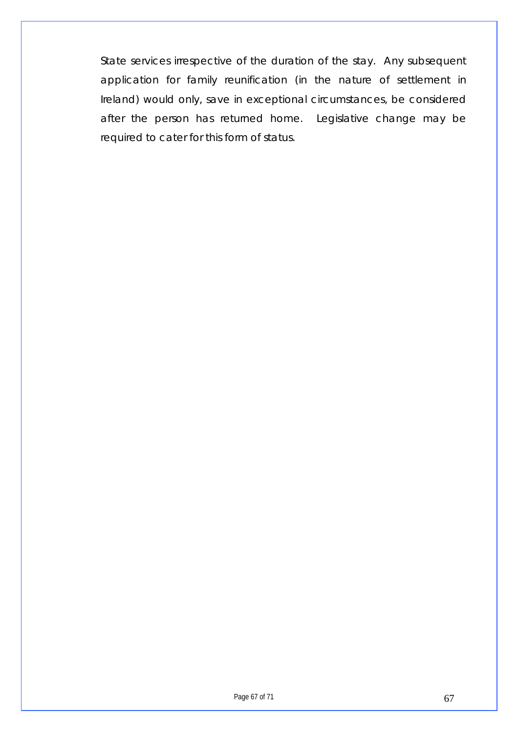State services irrespective of the duration of the stay. Any subsequent application for family reunification (in the nature of settlement in Ireland) would only, save in exceptional circumstances, be considered after the person has returned home. Legislative change may be required to cater for this form of status.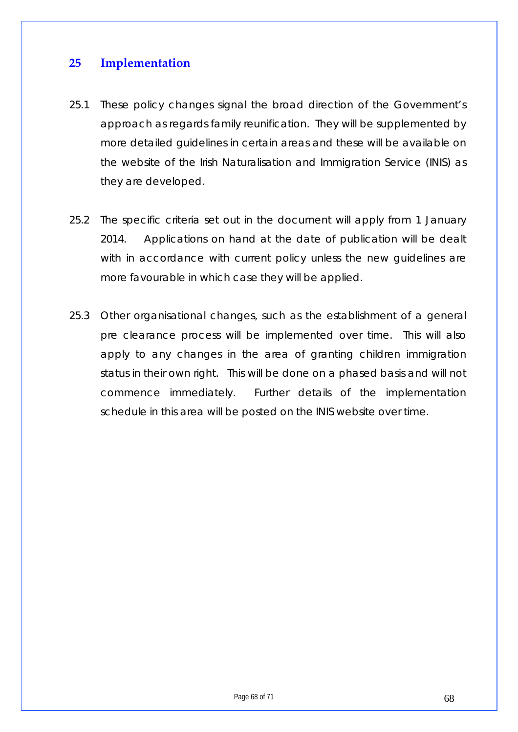## <span id="page-67-0"></span>**25 Implementation**

- 25.1 These policy changes signal the broad direction of the Government's approach as regards family reunification. They will be supplemented by more detailed guidelines in certain areas and these will be available on the website of the Irish Naturalisation and Immigration Service (INIS) as they are developed.
- 25.2 The specific criteria set out in the document will apply from 1 January 2014. Applications on hand at the date of publication will be dealt with in accordance with current policy unless the new quidelines are more favourable in which case they will be applied.
- 25.3 Other organisational changes, such as the establishment of a general pre clearance process will be implemented over time. This will also apply to any changes in the area of granting children immigration status in their own right. This will be done on a phased basis and will not commence immediately. Further details of the implementation schedule in this area will be posted on the INIS website over time.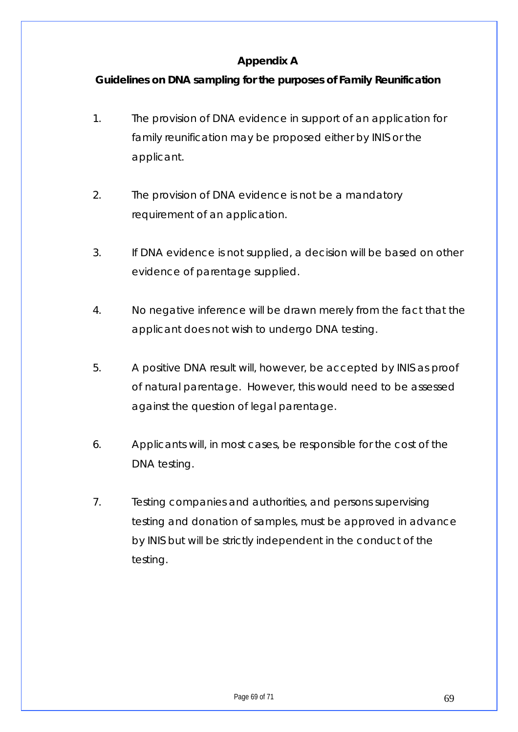## **Appendix A**

## <span id="page-68-0"></span>**Guidelines on DNA sampling for the purposes of Family Reunification**

- 1. The provision of DNA evidence in support of an application for family reunification may be proposed either by INIS or the applicant.
- 2. The provision of DNA evidence is not be a mandatory requirement of an application.
- 3. If DNA evidence is not supplied, a decision will be based on other evidence of parentage supplied.
- 4. No negative inference will be drawn merely from the fact that the applicant does not wish to undergo DNA testing.
- 5. A positive DNA result will, however, be accepted by INIS as proof of natural parentage. However, this would need to be assessed against the question of legal parentage.
- 6. Applicants will, in most cases, be responsible for the cost of the DNA testing.
- 7. Testing companies and authorities, and persons supervising testing and donation of samples, must be approved in advance by INIS but will be strictly independent in the conduct of the testing.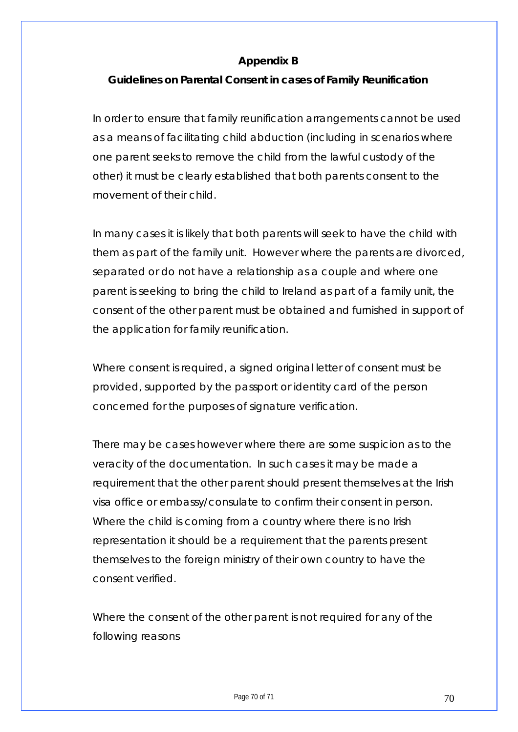#### **Appendix B**

#### <span id="page-69-0"></span>**Guidelines on Parental Consent in cases of Family Reunification**

In order to ensure that family reunification arrangements cannot be used as a means of facilitating child abduction (including in scenarios where one parent seeks to remove the child from the lawful custody of the other) it must be clearly established that both parents consent to the movement of their child.

In many cases it is likely that both parents will seek to have the child with them as part of the family unit. However where the parents are divorced, separated or do not have a relationship as a couple and where one parent is seeking to bring the child to Ireland as part of a family unit, the consent of the other parent must be obtained and furnished in support of the application for family reunification.

Where consent is required, a signed original letter of consent must be provided, supported by the passport or identity card of the person concerned for the purposes of signature verification.

There may be cases however where there are some suspicion as to the veracity of the documentation. In such cases it may be made a requirement that the other parent should present themselves at the Irish visa office or embassy/consulate to confirm their consent in person. Where the child is coming from a country where there is no Irish representation it should be a requirement that the parents present themselves to the foreign ministry of their own country to have the consent verified.

Where the consent of the other parent is not required for any of the following reasons